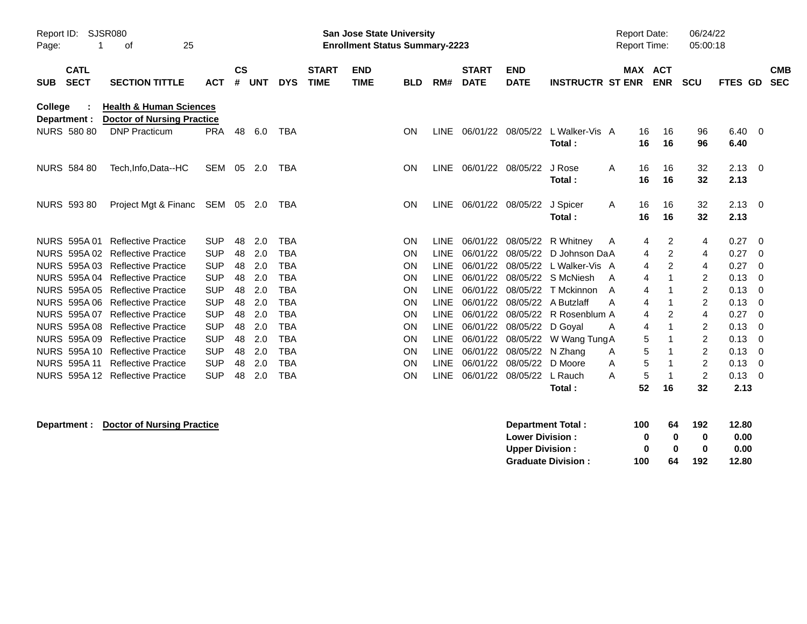| Page:      | SJSR080<br>Report ID:<br>25<br>οf |                                                                         |                          |                |            |                          |                             | San Jose State University<br><b>Enrollment Status Summary-2223</b> |            |                            |                             |                           |                          | <b>Report Date:</b><br><b>Report Time:</b> |          |                          | 06/24/22<br>05:00:18 |              |                          |
|------------|-----------------------------------|-------------------------------------------------------------------------|--------------------------|----------------|------------|--------------------------|-----------------------------|--------------------------------------------------------------------|------------|----------------------------|-----------------------------|---------------------------|--------------------------|--------------------------------------------|----------|--------------------------|----------------------|--------------|--------------------------|
| <b>SUB</b> | <b>CATL</b><br><b>SECT</b>        | <b>SECTION TITTLE</b>                                                   | <b>ACT</b>               | <b>CS</b><br># | <b>UNT</b> | <b>DYS</b>               | <b>START</b><br><b>TIME</b> | <b>END</b><br><b>TIME</b>                                          | <b>BLD</b> | RM#                        | <b>START</b><br><b>DATE</b> | <b>END</b><br><b>DATE</b> | <b>INSTRUCTR ST ENR</b>  | <b>MAX</b>                                 |          | <b>ACT</b><br><b>ENR</b> | <b>SCU</b>           | FTES GD      | <b>CMB</b><br><b>SEC</b> |
| College    | Department :                      | <b>Health &amp; Human Sciences</b><br><b>Doctor of Nursing Practice</b> |                          |                |            |                          |                             |                                                                    |            |                            |                             |                           |                          |                                            |          |                          |                      |              |                          |
|            | <b>NURS 580 80</b>                | <b>DNP Practicum</b>                                                    | <b>PRA</b>               | 48             | 6.0        | TBA                      |                             |                                                                    | ON         | <b>LINE</b>                | 06/01/22 08/05/22           |                           | L Walker-Vis A<br>Total: |                                            | 16<br>16 | 16<br>16                 | 96<br>96             | 6.40<br>6.40 | $\overline{\mathbf{0}}$  |
|            | <b>NURS 584 80</b>                | Tech, Info, Data--HC                                                    | SEM                      | 05             | 2.0        | <b>TBA</b>               |                             |                                                                    | ON         | LINE                       | 06/01/22 08/05/22           |                           | J Rose<br>Total:         | A                                          | 16<br>16 | 16<br>16                 | 32<br>32             | 2.13<br>2.13 | $\overline{0}$           |
|            | <b>NURS 593 80</b>                | Project Mgt & Financ                                                    | SEM 05 2.0               |                |            | TBA                      |                             |                                                                    | ON         | LINE                       | 06/01/22                    | 08/05/22                  | J Spicer<br>Total:       | A                                          | 16<br>16 | 16<br>16                 | 32<br>32             | 2.13<br>2.13 | $\overline{\mathbf{0}}$  |
|            |                                   | NURS 595A 01 Reflective Practice                                        | <b>SUP</b>               | 48             | 2.0        | <b>TBA</b>               |                             |                                                                    | ON         | <b>LINE</b>                | 06/01/22                    | 08/05/22                  | R Whitney                | A                                          | 4        | 2                        | 4                    | 0.27         | $\mathbf 0$              |
|            | <b>NURS 595A02</b>                | <b>Reflective Practice</b>                                              | <b>SUP</b>               | 48             | 2.0        | <b>TBA</b>               |                             |                                                                    | ON         | <b>LINE</b>                | 06/01/22                    | 08/05/22                  | D Johnson DaA            |                                            | 4        | 2                        | 4                    | 0.27         | 0                        |
|            |                                   | NURS 595A 03 Reflective Practice                                        | <b>SUP</b>               | 48             | 2.0        | <b>TBA</b>               |                             |                                                                    | ON         | <b>LINE</b>                | 06/01/22                    | 08/05/22                  | L Walker-Vis A           |                                            | 4        | 2                        | 4                    | 0.27         | 0                        |
|            |                                   | NURS 595A 04 Reflective Practice                                        | <b>SUP</b>               | 48             | 2.0        | <b>TBA</b>               |                             |                                                                    | ΟN         | <b>LINE</b>                | 06/01/22                    | 08/05/22                  | S McNiesh                | A                                          | 4        |                          | 2                    | 0.13         | 0                        |
|            |                                   | NURS 595A 05 Reflective Practice                                        | <b>SUP</b>               | 48             | 2.0        | <b>TBA</b>               |                             |                                                                    | ON         | <b>LINE</b>                | 06/01/22                    | 08/05/22                  | T Mckinnon               | A                                          | 4        |                          | 2                    | 0.13         | 0                        |
|            |                                   | NURS 595A 06 Reflective Practice                                        | <b>SUP</b>               | 48             | 2.0        | <b>TBA</b>               |                             |                                                                    | ON         | LINE                       | 06/01/22                    | 08/05/22                  | A Butzlaff               | А                                          | 4        |                          | 2                    | 0.13         | 0                        |
|            | NURS 595A 07                      | <b>Reflective Practice</b>                                              | <b>SUP</b>               | 48             | 2.0        | <b>TBA</b>               |                             |                                                                    | ΟN         | LINE                       | 06/01/22                    | 08/05/22                  | R Rosenblum A            |                                            | 4        | 2                        | 4                    | 0.27         | 0                        |
|            |                                   | NURS 595A 08 Reflective Practice                                        | <b>SUP</b>               | 48             | 2.0        | <b>TBA</b>               |                             |                                                                    | ON         | LINE                       | 06/01/22                    | 08/05/22                  | D Goyal                  | A                                          | 4        |                          | 2                    | 0.13         | 0                        |
|            | NURS 595A 09                      | <b>Reflective Practice</b>                                              | <b>SUP</b>               | 48             | 2.0        | TBA                      |                             |                                                                    | ON         | <b>LINE</b>                | 06/01/22                    | 08/05/22                  | W Wang Tung A            |                                            | 5        |                          | 2                    | 0.13         | 0                        |
|            | <b>NURS 595A10</b>                | <b>Reflective Practice</b>                                              | <b>SUP</b>               | 48             | 2.0        | <b>TBA</b>               |                             |                                                                    | ON         | LINE                       | 06/01/22                    | 08/05/22                  | N Zhang                  | A                                          | 5        |                          | 2                    | 0.13         | 0                        |
|            | <b>NURS 595A11</b>                | <b>Reflective Practice</b><br>NURS 595A 12 Reflective Practice          | <b>SUP</b><br><b>SUP</b> | 48<br>48       | 2.0        | <b>TBA</b><br><b>TBA</b> |                             |                                                                    | ON<br>ON   | <b>LINE</b><br><b>LINE</b> | 06/01/22<br>06/01/22        | 08/05/22                  | D Moore                  | A                                          | 5<br>5   |                          | 2                    | 0.13         | 0                        |
|            |                                   |                                                                         |                          |                | 2.0        |                          |                             |                                                                    |            |                            |                             | 08/05/22                  | L Rauch<br>Total :       | A                                          | 52       | 16                       | 2<br>32              | 0.13<br>2.13 | - 0                      |

# **Department : Doctor of Nursing Practice**

| <b>Department Total:</b>  | 100 | 64 | 192 | 12.80 |
|---------------------------|-----|----|-----|-------|
| <b>Lower Division :</b>   | 0   | n  | 0   | 0.00  |
| <b>Upper Division :</b>   | o   | n  | 0   | 0.00  |
| <b>Graduate Division:</b> | 100 | 64 | 192 | 12.80 |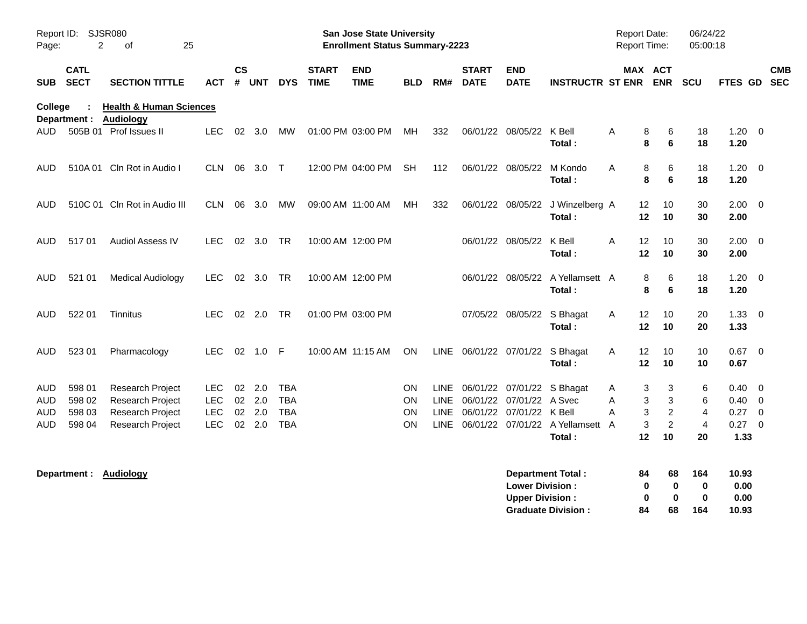| Page:             | Report ID: SJSR080<br>2              | 25<br>οf                                                                     |                                                |                    |                                     |                                                      |                             | San Jose State University<br><b>Enrollment Status Summary-2223</b> |                                                  |      |                             |                                                           |                                                                          |             | <b>Report Date:</b><br>Report Time: |                                            | 06/24/22<br>05:00:18                       |                                                    |                         |                          |
|-------------------|--------------------------------------|------------------------------------------------------------------------------|------------------------------------------------|--------------------|-------------------------------------|------------------------------------------------------|-----------------------------|--------------------------------------------------------------------|--------------------------------------------------|------|-----------------------------|-----------------------------------------------------------|--------------------------------------------------------------------------|-------------|-------------------------------------|--------------------------------------------|--------------------------------------------|----------------------------------------------------|-------------------------|--------------------------|
| SUB               | <b>CATL</b><br><b>SECT</b>           | <b>SECTION TITTLE</b>                                                        | ACT                                            | $\mathsf{cs}$<br># | <b>UNT</b>                          | <b>DYS</b>                                           | <b>START</b><br><b>TIME</b> | <b>END</b><br><b>TIME</b>                                          | <b>BLD</b>                                       | RM#  | <b>START</b><br><b>DATE</b> | <b>END</b><br><b>DATE</b>                                 | <b>INSTRUCTR ST ENR</b>                                                  |             |                                     | MAX ACT<br><b>ENR</b>                      | <b>SCU</b>                                 | FTES GD                                            |                         | <b>CMB</b><br><b>SEC</b> |
| College           | Department :                         | <b>Health &amp; Human Sciences</b><br><b>Audiology</b>                       |                                                |                    |                                     |                                                      |                             |                                                                    |                                                  |      |                             |                                                           |                                                                          |             |                                     |                                            |                                            |                                                    |                         |                          |
| AUD.              |                                      | 505B 01 Prof Issues II                                                       | <b>LEC</b>                                     |                    | 02 3.0                              | MW                                                   |                             | 01:00 PM 03:00 PM                                                  | MH.                                              | 332  |                             | 06/01/22 08/05/22                                         | K Bell<br>Total:                                                         | A           | 8<br>8                              | 6<br>6                                     | 18<br>18                                   | $1.20 \t 0$<br>1.20                                |                         |                          |
| AUD               |                                      | 510A 01 Cln Rot in Audio I                                                   | CLN.                                           | 06                 | 3.0                                 | $\top$                                               |                             | 12:00 PM 04:00 PM                                                  | <b>SH</b>                                        | 112  |                             | 06/01/22 08/05/22                                         | M Kondo<br>Total:                                                        | A           | 8<br>8                              | 6<br>6                                     | 18<br>18                                   | 1.20<br>1.20                                       | $\overline{\mathbf{0}}$ |                          |
| AUD               |                                      | 510C 01 Cln Rot in Audio III                                                 | CLN.                                           | 06                 | 3.0                                 | MW                                                   |                             | 09:00 AM 11:00 AM                                                  | MН                                               | 332  |                             | 06/01/22 08/05/22                                         | J Winzelberg A<br>Total:                                                 |             | 12<br>12                            | 10<br>10                                   | 30<br>30                                   | $2.00 \t 0$<br>2.00                                |                         |                          |
| <b>AUD</b>        | 51701                                | <b>Audiol Assess IV</b>                                                      | LEC.                                           |                    | 02 3.0                              | TR                                                   |                             | 10:00 AM 12:00 PM                                                  |                                                  |      |                             | 06/01/22 08/05/22                                         | K Bell<br>Total:                                                         | A           | $12 \overline{ }$<br>12             | 10<br>10                                   | 30<br>30                                   | $2.00 \t 0$<br>2.00                                |                         |                          |
| AUD               | 521 01                               | <b>Medical Audiology</b>                                                     | <b>LEC</b>                                     |                    | 02 3.0                              | TR                                                   |                             | 10:00 AM 12:00 PM                                                  |                                                  |      |                             | 06/01/22 08/05/22                                         | A Yellamsett A<br>Total:                                                 |             | 8<br>8                              | 6<br>6                                     | 18<br>18                                   | $1.20 \t 0$<br>1.20                                |                         |                          |
| AUD               | 522 01                               | Tinnitus                                                                     | LEC.                                           |                    | 02 2.0                              | <b>TR</b>                                            |                             | 01:00 PM 03:00 PM                                                  |                                                  |      |                             | 07/05/22 08/05/22                                         | S Bhagat<br>Total:                                                       | A           | 12<br>12                            | 10<br>10                                   | 20<br>20                                   | $1.33 \ 0$<br>1.33                                 |                         |                          |
| <b>AUD</b>        | 523 01                               | Pharmacology                                                                 | <b>LEC</b>                                     | 02                 | $1.0$ F                             |                                                      | 10:00 AM 11:15 AM           |                                                                    | <b>ON</b>                                        |      |                             |                                                           | LINE 06/01/22 07/01/22 S Bhagat<br>Total:                                | A           | 12<br>$12 \,$                       | 10<br>10                                   | 10<br>10                                   | $0.67$ 0<br>0.67                                   |                         |                          |
| AUD<br>AUD<br>AUD | 598 01<br>598 02<br>598 03<br>598 04 | Research Project<br>Research Project<br>Research Project<br>Research Project | LEC.<br><b>LEC</b><br><b>LEC</b><br><b>LEC</b> | 02                 | $02$ 2.0<br>02 2.0<br>2.0<br>02 2.0 | <b>TBA</b><br><b>TBA</b><br><b>TBA</b><br><b>TBA</b> |                             |                                                                    | <b>ON</b><br><b>ON</b><br><b>ON</b><br><b>ON</b> | LINE |                             | LINE 06/01/22 07/01/22 A Svec<br>06/01/22 07/01/22 K Bell | LINE 06/01/22 07/01/22 S Bhagat<br>LINE 06/01/22 07/01/22 A Yellamsett A | A<br>A<br>A | 3<br>3<br>3<br>3                    | 3<br>3<br>$\overline{c}$<br>$\overline{c}$ | 6<br>6<br>$\overline{4}$<br>$\overline{4}$ | $0.40 \quad 0$<br>$0.40 \quad 0$<br>0.27<br>0.27 0 | $\overline{\mathbf{0}}$ |                          |
| AUD               |                                      |                                                                              |                                                |                    |                                     |                                                      |                             |                                                                    |                                                  |      |                             |                                                           | Total:                                                                   |             | $12 \,$                             | 10                                         | 20                                         | 1.33                                               |                         |                          |
|                   |                                      | Department: Audiology                                                        |                                                |                    |                                     |                                                      |                             |                                                                    |                                                  |      |                             | <b>Lower Division:</b><br><b>Upper Division:</b>          | <b>Department Total:</b><br><b>Graduate Division:</b>                    |             | 84<br>0<br>0<br>84                  | 68<br>$\bf{0}$<br>$\bf{0}$<br>68           | 164<br>0<br>$\bf{0}$<br>164                | 10.93<br>0.00<br>0.00<br>10.93                     |                         |                          |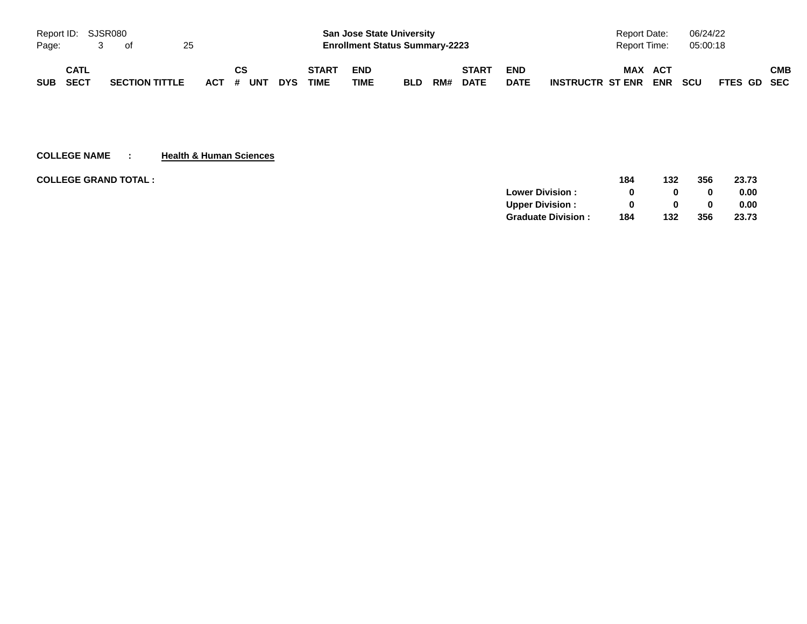| Report ID: SJSR080 |      |                       |    |           |    |     |              | <b>San Jose State University</b>      |            |     |              |             | Report Date:         |         | 06/24/22 |             |     |
|--------------------|------|-----------------------|----|-----------|----|-----|--------------|---------------------------------------|------------|-----|--------------|-------------|----------------------|---------|----------|-------------|-----|
| Page:              |      | of                    | 25 |           |    |     |              | <b>Enrollment Status Summary-2223</b> |            |     |              |             | Report Time:         |         | 05:00:18 |             |     |
|                    | CATL |                       |    |           | CS |     | <b>START</b> | <b>END</b>                            |            |     | <b>START</b> | <b>END</b>  |                      | MAX ACT |          |             | СМВ |
| SUB SECT           |      | <b>SECTION TITTLE</b> |    | ACT # UNT |    | DYS | TIME         | TIME                                  | <b>BLD</b> | RM# | <b>DATE</b>  | <b>DATE</b> | INSTRUCTR ST ENR ENR |         | scu      | FTES GD SEC |     |

**COLLEGE NAME : Health & Human Sciences**

| <b>COLLEGE GRAND TOTAL :</b> |                           | 184 | 132 | 356      | 23.73 |
|------------------------------|---------------------------|-----|-----|----------|-------|
|                              | <b>Lower Division:</b>    |     |     |          | 0.00  |
|                              | <b>Upper Division:</b>    |     | 0   | $\bf{0}$ | 0.00  |
|                              | <b>Graduate Division:</b> | 184 | 132 | 356      | 23.73 |
|                              |                           |     |     |          |       |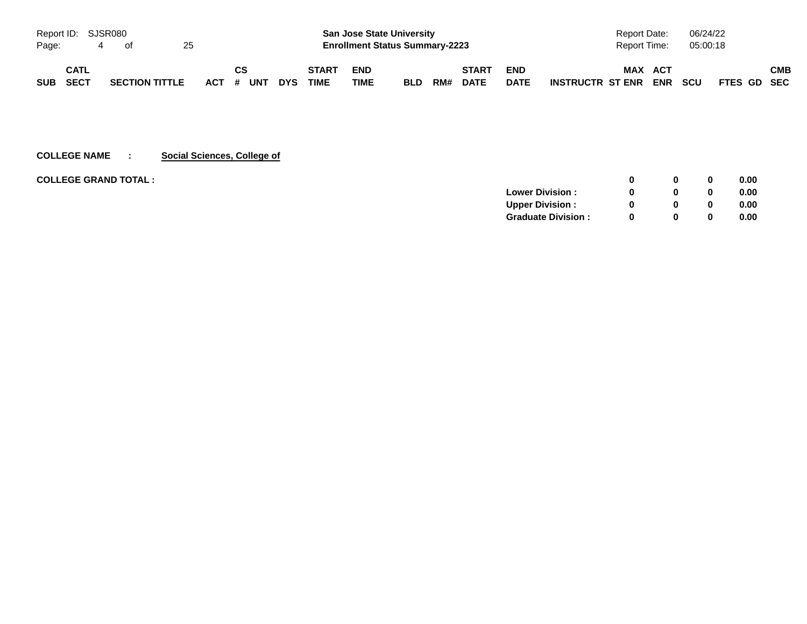| Report ID: SJSR080 |             |   |                       |    |           |    |            |                             | <b>San Jose State University</b>      |            |     |                             |                           | Report Date:                   |                   | 06/24/22   |             |            |
|--------------------|-------------|---|-----------------------|----|-----------|----|------------|-----------------------------|---------------------------------------|------------|-----|-----------------------------|---------------------------|--------------------------------|-------------------|------------|-------------|------------|
| Page:              |             | 4 | of                    | 25 |           |    |            |                             | <b>Enrollment Status Summary-2223</b> |            |     |                             |                           | Report Time:                   |                   | 05:00:18   |             |            |
| SUB SECT           | <b>CATL</b> |   | <b>SECTION TITTLE</b> |    | ACT # UNT | СS | <b>DYS</b> | <b>START</b><br><b>TIME</b> | <b>END</b><br>TIME                    | <b>BLD</b> | RM# | <b>START</b><br><b>DATE</b> | <b>END</b><br><b>DATE</b> | <b>MAX</b><br>INSTRUCTR ST ENR | <b>ACT</b><br>ENR | <b>SCU</b> | FTES GD SEC | <b>CMB</b> |

#### **COLLEGE NAME : Social Sciences, College of**

| <b>COLLEGE GRAND TOTAL :</b> |                           |   |          |          | 0.00 |
|------------------------------|---------------------------|---|----------|----------|------|
|                              | <b>Lower Division:</b>    |   | 0        | $\bf{0}$ | 0.00 |
|                              | <b>Upper Division:</b>    |   | 0        | $\bf{0}$ | 0.00 |
|                              | <b>Graduate Division:</b> | 0 | $\bf{0}$ | $\bf{0}$ | 0.00 |
|                              |                           |   |          |          |      |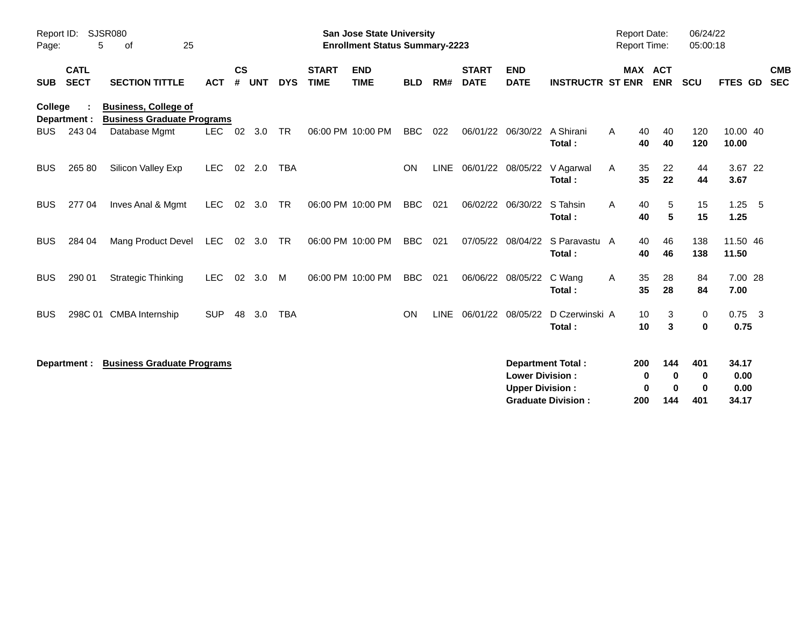| Report ID:<br>Page: | 5                          | SJSR080<br>25<br>οf                                              |            |                    |            |            |                             | <b>San Jose State University</b><br><b>Enrollment Status Summary-2223</b> |            |             |                             |                                                  |                                                       |   | <b>Report Date:</b><br>Report Time: | 06/24/22<br>05:00:18                         |                                |                          |
|---------------------|----------------------------|------------------------------------------------------------------|------------|--------------------|------------|------------|-----------------------------|---------------------------------------------------------------------------|------------|-------------|-----------------------------|--------------------------------------------------|-------------------------------------------------------|---|-------------------------------------|----------------------------------------------|--------------------------------|--------------------------|
| <b>SUB</b>          | <b>CATL</b><br><b>SECT</b> | <b>SECTION TITTLE</b>                                            | <b>ACT</b> | $\mathsf{cs}$<br># | <b>UNT</b> | <b>DYS</b> | <b>START</b><br><b>TIME</b> | <b>END</b><br><b>TIME</b>                                                 | <b>BLD</b> | RM#         | <b>START</b><br><b>DATE</b> | <b>END</b><br><b>DATE</b>                        | <b>INSTRUCTR ST ENR</b>                               |   | MAX ACT<br><b>ENR</b>               | <b>SCU</b>                                   | FTES GD                        | <b>CMB</b><br><b>SEC</b> |
| College             | Department :               | <b>Business, College of</b><br><b>Business Graduate Programs</b> |            |                    |            |            |                             |                                                                           |            |             |                             |                                                  |                                                       |   |                                     |                                              |                                |                          |
| <b>BUS</b>          | 243 04                     | Database Mgmt                                                    | <b>LEC</b> | 02                 | 3.0        | <b>TR</b>  |                             | 06:00 PM 10:00 PM                                                         | <b>BBC</b> | 022         | 06/01/22                    | 06/30/22                                         | A Shirani<br>Total:                                   | A | 40<br>40<br>40<br>40                | 120<br>120                                   | 10.00 40<br>10.00              |                          |
| <b>BUS</b>          | 265 80                     | Silicon Valley Exp                                               | <b>LEC</b> | 02                 | 2.0        | <b>TBA</b> |                             |                                                                           | ON         | <b>LINE</b> |                             | 06/01/22 08/05/22                                | V Agarwal<br>Total:                                   | A | 35<br>22<br>35<br>22                | 44<br>44                                     | 3.67 22<br>3.67                |                          |
| <b>BUS</b>          | 277 04                     | Inves Anal & Mgmt                                                | <b>LEC</b> | 02                 | 3.0        | TR         |                             | 06:00 PM 10:00 PM                                                         | <b>BBC</b> | 021         |                             | 06/02/22 06/30/22                                | S Tahsin<br>Total:                                    | A | 40<br>5<br>40<br>5                  | 15<br>15                                     | $1.25 - 5$<br>1.25             |                          |
| <b>BUS</b>          | 284 04                     | Mang Product Devel                                               | <b>LEC</b> | 02                 | 3.0        | <b>TR</b>  |                             | 06:00 PM 10:00 PM                                                         | <b>BBC</b> | 021         | 07/05/22                    | 08/04/22                                         | S Paravastu A<br>Total:                               |   | 46<br>40<br>40<br>46                | 138<br>138                                   | 11.50 46<br>11.50              |                          |
| <b>BUS</b>          | 290 01                     | <b>Strategic Thinking</b>                                        | <b>LEC</b> | 02                 | 3.0        | M          |                             | 06:00 PM 10:00 PM                                                         | <b>BBC</b> | 021         |                             | 06/06/22 08/05/22                                | C Wang<br>Total:                                      | A | 35<br>28<br>35<br>28                | 84<br>84                                     | 7.00 28<br>7.00                |                          |
| <b>BUS</b>          |                            | 298C 01 CMBA Internship                                          | <b>SUP</b> | 48                 | 3.0        | <b>TBA</b> |                             |                                                                           | <b>ON</b>  | <b>LINE</b> |                             | 06/01/22 08/05/22                                | D Czerwinski A<br>Total:                              |   | 10<br>3<br>10<br>3                  | 0<br>0                                       | $0.75$ 3<br>0.75               |                          |
|                     | Department :               | <b>Business Graduate Programs</b>                                |            |                    |            |            |                             |                                                                           |            |             |                             | <b>Lower Division:</b><br><b>Upper Division:</b> | <b>Department Total:</b><br><b>Graduate Division:</b> |   | 200<br>144<br>0<br>0<br>200<br>144  | 401<br>0<br>0<br>$\bf{0}$<br>$\bf{0}$<br>401 | 34.17<br>0.00<br>0.00<br>34.17 |                          |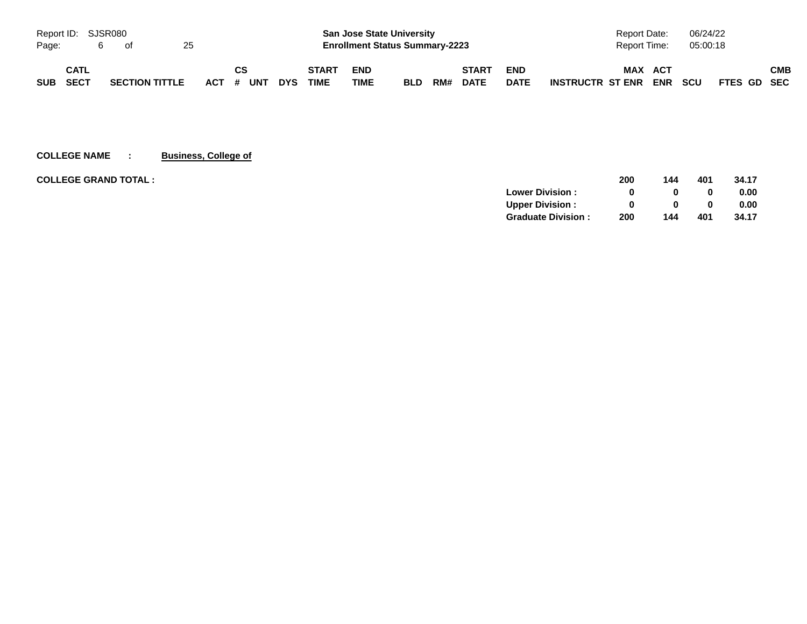| Report ID: SJSR080 |      |                       |    |  |           |            |                                       | <b>San Jose State University</b> |            |     |              |              | Report Date:                          | 06/24/22   |             |     |
|--------------------|------|-----------------------|----|--|-----------|------------|---------------------------------------|----------------------------------|------------|-----|--------------|--------------|---------------------------------------|------------|-------------|-----|
| Page:              |      | - of                  | 25 |  |           |            | <b>Enrollment Status Summary-2223</b> |                                  |            |     |              | Report Time: | 05:00:18                              |            |             |     |
|                    | CATL |                       |    |  | CS        |            | <b>START</b>                          | <b>END</b>                       |            |     | <b>START</b> | <b>END</b>   | <b>MAX</b><br>ACT                     |            |             | СМВ |
| <b>SUB</b>         | SECT | <b>SECTION TITTLE</b> |    |  | ACT # UNT | <b>DYS</b> | <b>TIME</b>                           | TIME                             | <b>BLD</b> | RM# | <b>DATE</b>  | <b>DATE</b>  | <b>ENR</b><br><b>INSTRUCTR ST ENR</b> | <b>SCU</b> | FTES GD SEC |     |

**COLLEGE NAME : Business, College of**

| <b>COLLEGE GRAND TOTAL :</b> |                           | 200 | 144 | 401 | 34.17 |
|------------------------------|---------------------------|-----|-----|-----|-------|
|                              | <b>Lower Division:</b>    | 0   |     |     | 0.00  |
|                              | <b>Upper Division:</b>    |     |     |     | 0.00  |
|                              | <b>Graduate Division:</b> | 200 | 144 | 401 | 34.17 |
|                              |                           |     |     |     |       |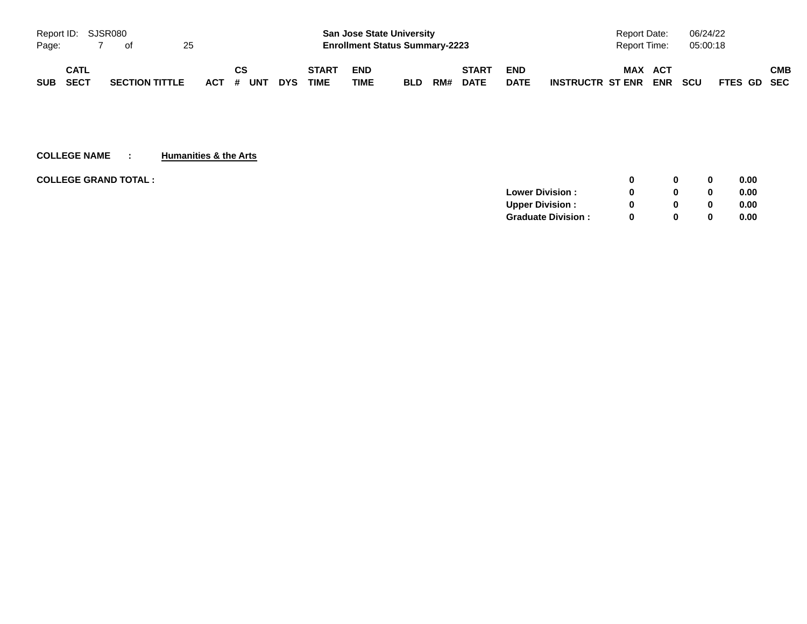| Report ID: SJSR080 |             |                       |    |           |            |              |            | <b>San Jose State University</b>      |     |              |             | Report Date:                          | 06/24/22                  |     |
|--------------------|-------------|-----------------------|----|-----------|------------|--------------|------------|---------------------------------------|-----|--------------|-------------|---------------------------------------|---------------------------|-----|
| Page:              |             | of                    | 25 |           |            |              |            | <b>Enrollment Status Summary-2223</b> |     |              |             | Report Time:                          | 05:00:18                  |     |
|                    | CATL        |                       |    | CS        |            | <b>START</b> | <b>END</b> |                                       |     | <b>START</b> | <b>END</b>  | <b>MAX</b><br>ACT                     |                           | СМВ |
| <b>SUB</b>         | <b>SECT</b> | <b>SECTION TITTLE</b> |    | ACT # UNT | <b>DYS</b> | <b>TIME</b>  | TIME       | <b>BLD</b>                            | RM# | <b>DATE</b>  | <b>DATE</b> | <b>ENR</b><br><b>INSTRUCTR ST ENR</b> | <b>SCU</b><br>FTES GD SEC |     |

#### **COLLEGE NAME : Humanities & the Arts**

| <b>COLLEGE GRAND TOTAL :</b> |                           | $\Omega$ | $\bf{0}$ | 0.00 |
|------------------------------|---------------------------|----------|----------|------|
|                              | <b>Lower Division:</b>    | $\Omega$ | $\bf{0}$ | 0.00 |
|                              | <b>Upper Division:</b>    | $\Omega$ | 0        | 0.00 |
|                              | <b>Graduate Division:</b> | $\Omega$ | $\bf{0}$ | 0.00 |
|                              |                           |          |          |      |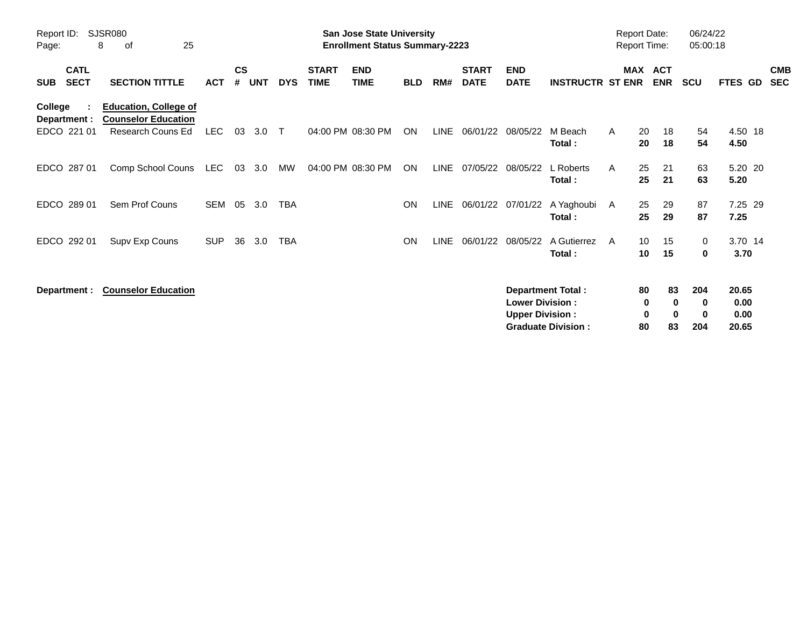| Report ID:<br>Page:                      | SJSR080<br>25<br>8<br>οf                                                        |            |                    |            |            |                             | <b>San Jose State University</b><br><b>Enrollment Status Summary-2223</b> |            |             |                             |                                                  |                                                       | <b>Report Date:</b><br><b>Report Time:</b> |                    |                                  | 06/24/22<br>05:00:18        |                                |                          |
|------------------------------------------|---------------------------------------------------------------------------------|------------|--------------------|------------|------------|-----------------------------|---------------------------------------------------------------------------|------------|-------------|-----------------------------|--------------------------------------------------|-------------------------------------------------------|--------------------------------------------|--------------------|----------------------------------|-----------------------------|--------------------------------|--------------------------|
| <b>CATL</b><br><b>SECT</b><br><b>SUB</b> | <b>SECTION TITTLE</b>                                                           | <b>ACT</b> | $\mathsf{cs}$<br># | <b>UNT</b> | <b>DYS</b> | <b>START</b><br><b>TIME</b> | <b>END</b><br><b>TIME</b>                                                 | <b>BLD</b> | RM#         | <b>START</b><br><b>DATE</b> | <b>END</b><br><b>DATE</b>                        | <b>INSTRUCTR ST ENR</b>                               | MAX                                        |                    | <b>ACT</b><br><b>ENR</b>         | <b>SCU</b>                  | FTES GD                        | <b>CMB</b><br><b>SEC</b> |
| College<br>Department :<br>EDCO 221 01   | <b>Education, College of</b><br><b>Counselor Education</b><br>Research Couns Ed | <b>LEC</b> | 03                 | 3.0        | $\top$     |                             | 04:00 PM 08:30 PM                                                         | ON         | LINE        | 06/01/22                    | 08/05/22                                         | M Beach<br>Total:                                     | A                                          | 20<br>20           | 18<br>18                         | 54<br>54                    | 4.50 18<br>4.50                |                          |
| EDCO 287 01                              | Comp School Couns                                                               | LEC        | 03                 | 3.0        | MW         |                             | 04:00 PM 08:30 PM                                                         | ON         | <b>LINE</b> | 07/05/22                    | 08/05/22                                         | L Roberts<br>Total:                                   | A                                          | 25<br>25           | 21<br>21                         | 63<br>63                    | 5.20 20<br>5.20                |                          |
| EDCO 289 01                              | Sem Prof Couns                                                                  | <b>SEM</b> | 05                 | 3.0        | <b>TBA</b> |                             |                                                                           | <b>ON</b>  |             |                             | LINE 06/01/22 07/01/22                           | A Yaghoubi<br>Total:                                  | A                                          | 25<br>25           | 29<br>29                         | 87<br>87                    | 7.25 29<br>7.25                |                          |
| EDCO 292 01                              | Supv Exp Couns                                                                  | <b>SUP</b> | 36                 | 3.0        | <b>TBA</b> |                             |                                                                           | <b>ON</b>  | <b>LINE</b> | 06/01/22                    | 08/05/22                                         | A Gutierrez<br>Total:                                 | A                                          | 10<br>10           | 15<br>15                         | 0<br>0                      | 3.70 14<br>3.70                |                          |
| Department :                             | <b>Counselor Education</b>                                                      |            |                    |            |            |                             |                                                                           |            |             |                             | <b>Lower Division:</b><br><b>Upper Division:</b> | <b>Department Total:</b><br><b>Graduate Division:</b> |                                            | 80<br>0<br>0<br>80 | 83<br>$\bf{0}$<br>$\bf{0}$<br>83 | 204<br>0<br>$\bf{0}$<br>204 | 20.65<br>0.00<br>0.00<br>20.65 |                          |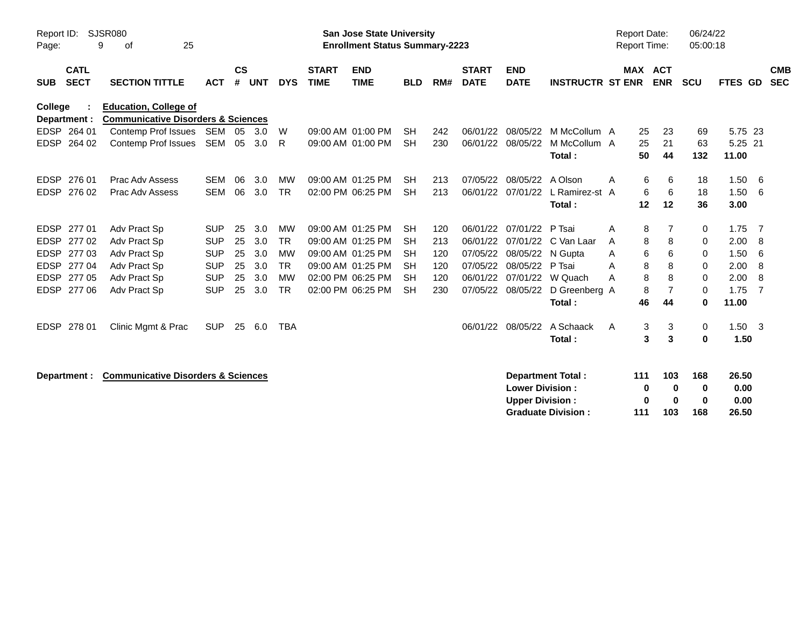| Page:          | Report ID:<br>SJSR080<br>25<br>9<br>of |                                                                               |            |                    |            |            |                             | <b>San Jose State University</b><br><b>Enrollment Status Summary-2223</b> |            |     |                             |                           |                           |   | <b>Report Date:</b><br><b>Report Time:</b> |                | 06/24/22<br>05:00:18 |                |     |                          |
|----------------|----------------------------------------|-------------------------------------------------------------------------------|------------|--------------------|------------|------------|-----------------------------|---------------------------------------------------------------------------|------------|-----|-----------------------------|---------------------------|---------------------------|---|--------------------------------------------|----------------|----------------------|----------------|-----|--------------------------|
| <b>SUB</b>     | <b>CATL</b><br><b>SECT</b>             | <b>SECTION TITTLE</b>                                                         | <b>ACT</b> | $\mathsf{cs}$<br># | <b>UNT</b> | <b>DYS</b> | <b>START</b><br><b>TIME</b> | <b>END</b><br><b>TIME</b>                                                 | <b>BLD</b> | RM# | <b>START</b><br><b>DATE</b> | <b>END</b><br><b>DATE</b> | <b>INSTRUCTR ST ENR</b>   |   | MAX ACT                                    | <b>ENR</b>     | <b>SCU</b>           | FTES GD        |     | <b>CMB</b><br><b>SEC</b> |
| <b>College</b> | Department :                           | <b>Education, College of</b><br><b>Communicative Disorders &amp; Sciences</b> |            |                    |            |            |                             |                                                                           |            |     |                             |                           |                           |   |                                            |                |                      |                |     |                          |
|                | EDSP 264 01                            | Contemp Prof Issues                                                           | SEM        | 05                 | 3.0        | W          |                             | 09:00 AM 01:00 PM                                                         | <b>SH</b>  | 242 | 06/01/22                    | 08/05/22                  | M McCollum A              |   | 25                                         | 23             | 69                   | 5.75 23        |     |                          |
| <b>EDSP</b>    | 264 02                                 | Contemp Prof Issues                                                           | SEM        | 05                 | 3.0        | R.         |                             | 09:00 AM 01:00 PM                                                         | <b>SH</b>  | 230 | 06/01/22                    | 08/05/22                  | M McCollum A              |   | 25                                         | 21             | 63                   | 5.25 21        |     |                          |
|                |                                        |                                                                               |            |                    |            |            |                             |                                                                           |            |     |                             |                           | Total:                    |   | 50                                         | 44             | 132                  | 11.00          |     |                          |
| <b>EDSP</b>    | 276 01                                 | Prac Adv Assess                                                               | <b>SEM</b> | 06                 | 3.0        | <b>MW</b>  |                             | 09:00 AM 01:25 PM                                                         | <b>SH</b>  | 213 | 07/05/22                    | 08/05/22                  | A Olson                   | A | 6                                          | 6              | 18                   | 1.50           | -6  |                          |
| <b>EDSP</b>    | 276 02                                 | Prac Adv Assess                                                               | <b>SEM</b> | 06                 | 3.0        | <b>TR</b>  |                             | 02:00 PM 06:25 PM                                                         | <b>SH</b>  | 213 | 06/01/22                    | 07/01/22                  | L Ramirez-st A            |   | 6                                          | 6              | 18                   | 1.50           | 6   |                          |
|                |                                        |                                                                               |            |                    |            |            |                             |                                                                           |            |     |                             |                           | Total:                    |   | 12                                         | 12             | 36                   | 3.00           |     |                          |
| <b>EDSP</b>    | 277 01                                 | Adv Pract Sp                                                                  | <b>SUP</b> | 25                 | 3.0        | MW         |                             | 09:00 AM 01:25 PM                                                         | <b>SH</b>  | 120 | 06/01/22                    | 07/01/22                  | P Tsai                    | A | 8                                          | 7              | 0                    | 1.75           | - 7 |                          |
| <b>EDSP</b>    | 27702                                  | Adv Pract Sp                                                                  | <b>SUP</b> | 25                 | 3.0        | <b>TR</b>  |                             | 09:00 AM 01:25 PM                                                         | <b>SH</b>  | 213 | 06/01/22                    | 07/01/22                  | C Van Laar                | A | 8                                          | 8              | 0                    | 2.00           | -8  |                          |
| <b>EDSP</b>    | 277 03                                 | Adv Pract Sp                                                                  | <b>SUP</b> | 25                 | 3.0        | <b>MW</b>  |                             | 09:00 AM 01:25 PM                                                         | <b>SH</b>  | 120 | 07/05/22                    | 08/05/22                  | N Gupta                   | A | 6                                          | 6              | 0                    | 1.50           | 6   |                          |
| <b>EDSP</b>    | 277 04                                 | Adv Pract Sp                                                                  | <b>SUP</b> | 25                 | 3.0        | <b>TR</b>  |                             | 09:00 AM 01:25 PM                                                         | <b>SH</b>  | 120 | 07/05/22                    | 08/05/22                  | P Tsai                    | A | 8                                          | 8              | 0                    | 2.00           | -8  |                          |
| <b>EDSP</b>    | 277 05                                 | Adv Pract Sp                                                                  | <b>SUP</b> | 25                 | 3.0        | <b>MW</b>  |                             | 02:00 PM 06:25 PM                                                         | <b>SH</b>  | 120 | 06/01/22                    |                           | 07/01/22 W Quach          | А | 8                                          | 8              | 0                    | 2.00           | 8   |                          |
| <b>EDSP</b>    | 277 06                                 | Adv Pract Sp                                                                  | <b>SUP</b> | 25                 | 3.0        | <b>TR</b>  |                             | 02:00 PM 06:25 PM                                                         | <b>SH</b>  | 230 | 07/05/22                    | 08/05/22                  | D Greenberg A             |   | 8                                          | $\overline{7}$ | $\Omega$             | 1.75           | -7  |                          |
|                |                                        |                                                                               |            |                    |            |            |                             |                                                                           |            |     |                             |                           | Total:                    |   | 46                                         | 44             | 0                    | 11.00          |     |                          |
| <b>EDSP</b>    | 278 01                                 | Clinic Mgmt & Prac                                                            | <b>SUP</b> | 25                 | 6.0        | <b>TBA</b> |                             |                                                                           |            |     | 06/01/22                    | 08/05/22                  | A Schaack                 | A | 3                                          | 3              | 0                    | $1.50 \quad 3$ |     |                          |
|                |                                        |                                                                               |            |                    |            |            |                             |                                                                           |            |     |                             |                           | Total:                    |   | 3                                          | 3              | 0                    | 1.50           |     |                          |
|                |                                        | <b>Communicative Disorders &amp; Sciences</b>                                 |            |                    |            |            |                             |                                                                           |            |     |                             |                           | <b>Department Total:</b>  |   | 111                                        | 103            | 168                  | 26.50          |     |                          |
|                | Department :                           |                                                                               |            |                    |            |            |                             |                                                                           |            |     |                             | <b>Lower Division:</b>    |                           |   | 0                                          | 0              | 0                    | 0.00           |     |                          |
|                |                                        |                                                                               |            |                    |            |            |                             |                                                                           |            |     |                             | <b>Upper Division:</b>    |                           |   | 0                                          | $\bf{0}$       | 0                    | 0.00           |     |                          |
|                |                                        |                                                                               |            |                    |            |            |                             |                                                                           |            |     |                             |                           | <b>Graduate Division:</b> |   | 111                                        | 103            | 168                  | 26.50          |     |                          |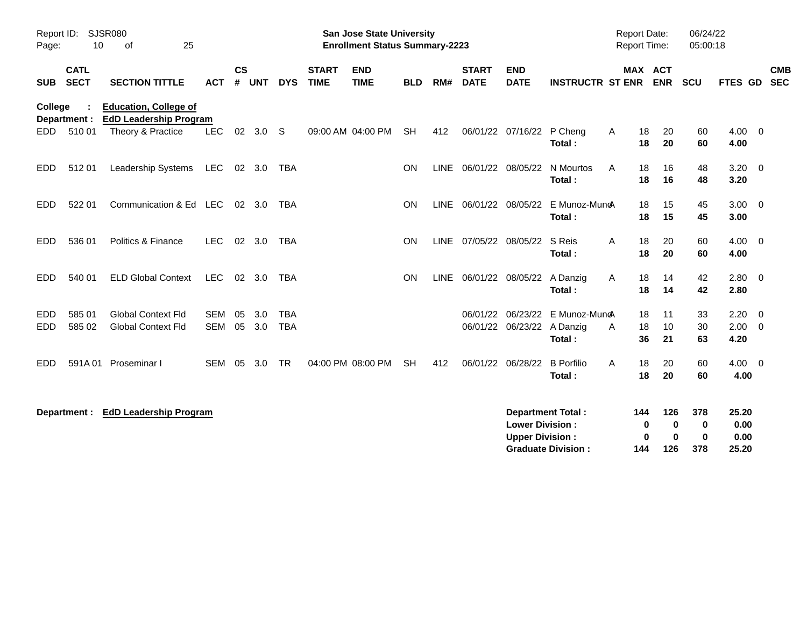| Page:      | SJSR080<br>Report ID:<br>10<br>25<br>οf |                                                               |            |               |        |            |                             | <b>San Jose State University</b><br><b>Enrollment Status Summary-2223</b> |            |     |                             |                                                  |                             | <b>Report Date:</b><br><b>Report Time:</b> |                                       | 06/24/22<br>05:00:18           |                        |                          |
|------------|-----------------------------------------|---------------------------------------------------------------|------------|---------------|--------|------------|-----------------------------|---------------------------------------------------------------------------|------------|-----|-----------------------------|--------------------------------------------------|-----------------------------|--------------------------------------------|---------------------------------------|--------------------------------|------------------------|--------------------------|
| <b>SUB</b> | <b>CATL</b><br><b>SECT</b>              | <b>SECTION TITTLE</b>                                         | <b>ACT</b> | $\mathsf{cs}$ | # UNT  | <b>DYS</b> | <b>START</b><br><b>TIME</b> | <b>END</b><br><b>TIME</b>                                                 | <b>BLD</b> | RM# | <b>START</b><br><b>DATE</b> | <b>END</b><br><b>DATE</b>                        | <b>INSTRUCTR ST ENR</b>     |                                            | MAX ACT<br><b>ENR</b>                 | <b>SCU</b>                     | FTES GD                | <b>CMB</b><br><b>SEC</b> |
| College    | Department :                            | <b>Education, College of</b><br><b>EdD Leadership Program</b> |            |               |        |            |                             |                                                                           |            |     |                             |                                                  |                             |                                            |                                       |                                |                        |                          |
| EDD        | 51001                                   | Theory & Practice                                             | <b>LEC</b> | 02            | 3.0    | -S         |                             | 09:00 AM 04:00 PM                                                         | <b>SH</b>  | 412 |                             | 06/01/22 07/16/22 P Cheng                        | Total:                      | Α                                          | 18<br>20<br>18<br>20                  | 60<br>60                       | $4.00 \ 0$<br>4.00     |                          |
| EDD.       | 51201                                   | Leadership Systems                                            | <b>LEC</b> |               | 02 3.0 | TBA        |                             |                                                                           | <b>ON</b>  |     | LINE 06/01/22 08/05/22      |                                                  | N Mourtos<br>Total:         | A                                          | 18<br>16<br>18<br>16                  | 48<br>48                       | 3.20<br>3.20           | $\overline{0}$           |
| EDD        | 522 01                                  | Communication & Ed LEC                                        |            |               | 02 3.0 | <b>TBA</b> |                             |                                                                           | <b>ON</b>  |     | LINE 06/01/22 08/05/22      |                                                  | E Munoz-MuncA<br>Total:     |                                            | 18<br>15<br>15<br>18                  | 45<br>45                       | $3.00 \quad 0$<br>3.00 |                          |
| <b>EDD</b> | 536 01                                  | Politics & Finance                                            | <b>LEC</b> | 02            | 3.0    | <b>TBA</b> |                             |                                                                           | <b>ON</b>  |     | LINE 07/05/22 08/05/22      |                                                  | S Reis<br>Total:            | A                                          | 18<br>20<br>20<br>18                  | 60<br>60                       | 4.00<br>4.00           | $\overline{\mathbf{0}}$  |
| EDD.       | 540 01                                  | <b>ELD Global Context</b>                                     | <b>LEC</b> | 02            | 3.0    | TBA        |                             |                                                                           | <b>ON</b>  |     | LINE 06/01/22 08/05/22      |                                                  | A Danzig<br>Total:          | A                                          | 18<br>14<br>14<br>18                  | 42<br>42                       | 2.80<br>2.80           | $\overline{\mathbf{0}}$  |
| EDD        | 585 01                                  | <b>Global Context Fld</b>                                     | <b>SEM</b> | 05            | 3.0    | <b>TBA</b> |                             |                                                                           |            |     | 06/01/22                    |                                                  | 06/23/22 E Munoz-Mun&       |                                            | 18<br>11                              | 33                             | 2.20                   | $\overline{\mathbf{0}}$  |
| <b>EDD</b> | 585 02                                  | <b>Global Context Fld</b>                                     | <b>SEM</b> | 05            | 3.0    | <b>TBA</b> |                             |                                                                           |            |     |                             | 06/01/22 06/23/22 A Danzig                       | Total:                      | A                                          | 18<br>10<br>36<br>21                  | 30<br>63                       | 2.00<br>4.20           | $\overline{0}$           |
| EDD        | 591A01                                  | Proseminar I                                                  | <b>SEM</b> | 05            | 3.0    | <b>TR</b>  |                             | 04:00 PM 08:00 PM                                                         | <b>SH</b>  | 412 | 06/01/22 06/28/22           |                                                  | <b>B</b> Porfilio<br>Total: | A                                          | 18<br>20<br>20<br>18                  | 60<br>60                       | $4.00 \quad 0$<br>4.00 |                          |
|            | Department :                            | <b>EdD Leadership Program</b>                                 |            |               |        |            |                             |                                                                           |            |     |                             | <b>Lower Division:</b><br><b>Upper Division:</b> | <b>Department Total:</b>    | 144                                        | 126<br>$\bf{0}$<br>0<br>$\bf{0}$<br>0 | 378<br>$\mathbf 0$<br>$\bf{0}$ | 25.20<br>0.00<br>0.00  |                          |
|            |                                         |                                                               |            |               |        |            |                             |                                                                           |            |     |                             |                                                  | <b>Graduate Division:</b>   | 144                                        | 126                                   | 378                            | 25.20                  |                          |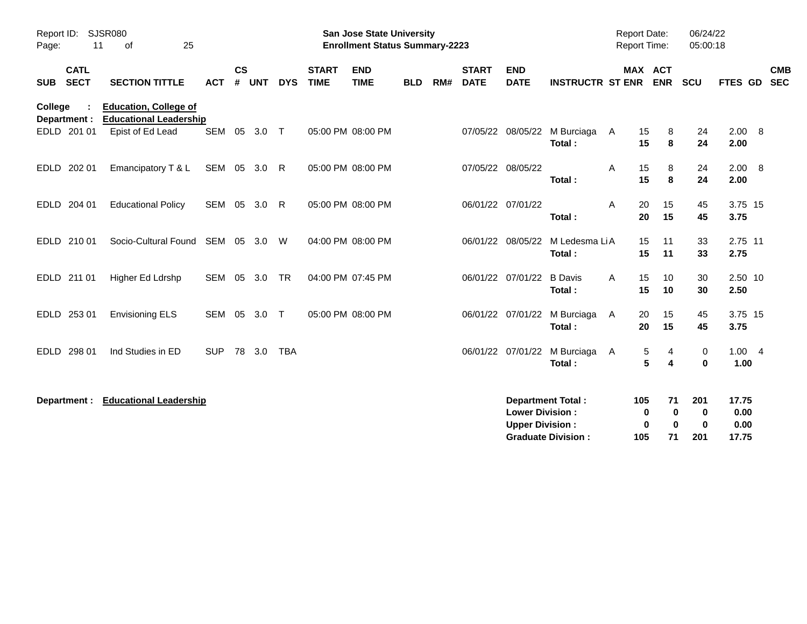| Report ID:<br><b>SJSR080</b><br>11<br>Page: |                                                               |              |                |              |            | <b>San Jose State University</b><br><b>Enrollment Status Summary-2223</b> |                           |            |     |                             |                                                  | <b>Report Date:</b><br>Report Time:                   |            | 06/24/22<br>05:00:18                |                                       |                                |            |  |
|---------------------------------------------|---------------------------------------------------------------|--------------|----------------|--------------|------------|---------------------------------------------------------------------------|---------------------------|------------|-----|-----------------------------|--------------------------------------------------|-------------------------------------------------------|------------|-------------------------------------|---------------------------------------|--------------------------------|------------|--|
| <b>CATL</b><br><b>SECT</b><br><b>SUB</b>    | <b>SECTION TITTLE</b>                                         | <b>ACT</b>   | <b>CS</b><br># | <b>UNT</b>   | <b>DYS</b> | <b>START</b><br><b>TIME</b>                                               | <b>END</b><br><b>TIME</b> | <b>BLD</b> | RM# | <b>START</b><br><b>DATE</b> | <b>END</b><br><b>DATE</b>                        | <b>INSTRUCTR ST ENR</b>                               |            | <b>MAX ACT</b><br><b>ENR</b>        | <b>SCU</b>                            | FTES GD SEC                    | <b>CMB</b> |  |
| College<br>Department :                     | <b>Education, College of</b><br><b>Educational Leadership</b> |              |                |              |            |                                                                           |                           |            |     |                             |                                                  |                                                       |            |                                     |                                       |                                |            |  |
| EDLD 201 01                                 | Epist of Ed Lead                                              |              |                | SEM 05 3.0 T |            |                                                                           | 05:00 PM 08:00 PM         |            |     |                             |                                                  | 07/05/22 08/05/22 M Burciaga<br>Total:                | A          | 15<br>8<br>15<br>8                  | 24<br>24                              | 2.00 8<br>2.00                 |            |  |
| EDLD 202 01                                 | Emancipatory T & L                                            | SEM 05 3.0 R |                |              |            |                                                                           | 05:00 PM 08:00 PM         |            |     |                             | 07/05/22 08/05/22                                | Total:                                                | Α          | 15<br>8<br>15<br>8                  | 24<br>24                              | 2.00 8<br>2.00                 |            |  |
| EDLD 204 01                                 | <b>Educational Policy</b>                                     | SEM 05 3.0   |                |              | R.         |                                                                           | 05:00 PM 08:00 PM         |            |     |                             | 06/01/22 07/01/22                                | Total:                                                | A          | 20<br>15<br>20<br>15                | 45<br>45                              | 3.75 15<br>3.75                |            |  |
| EDLD 210 01                                 | Socio-Cultural Found SEM 05 3.0                               |              |                |              | W          |                                                                           | 04:00 PM 08:00 PM         |            |     |                             | 06/01/22 08/05/22                                | M Ledesma LiA<br>Total:                               |            | 15<br>11<br>11<br>15                | 33<br>33                              | 2.75 11<br>2.75                |            |  |
| EDLD 211 01                                 | Higher Ed Ldrshp                                              | SEM 05 3.0   |                |              | <b>TR</b>  |                                                                           | 04:00 PM 07:45 PM         |            |     |                             | 06/01/22 07/01/22                                | <b>B</b> Davis<br>Total:                              | A          | 15<br>10<br>15<br>10                | 30<br>30                              | 2.50 10<br>2.50                |            |  |
| EDLD 253 01                                 | <b>Envisioning ELS</b>                                        | SEM 05       |                | 3.0 T        |            |                                                                           | 05:00 PM 08:00 PM         |            |     |                             |                                                  | 06/01/22 07/01/22 M Burciaga<br>Total:                | A          | 15<br>20<br>15<br>20                | 45<br>45                              | 3.75 15<br>3.75                |            |  |
| EDLD 298 01                                 | Ind Studies in ED                                             | <b>SUP</b>   |                | 78 3.0       | <b>TBA</b> |                                                                           |                           |            |     |                             |                                                  | 06/01/22 07/01/22 M Burciaga<br>Total:                | A          | 5<br>4<br>5<br>4                    | 0<br>$\mathbf 0$                      | 1.004<br>1.00                  |            |  |
| Department :                                | <b>Educational Leadership</b>                                 |              |                |              |            |                                                                           |                           |            |     |                             | <b>Lower Division:</b><br><b>Upper Division:</b> | <b>Department Total:</b><br><b>Graduate Division:</b> | 105<br>105 | 71<br>0<br>0<br>$\bf{0}$<br>0<br>71 | 201<br>$\mathbf 0$<br>$\bf{0}$<br>201 | 17.75<br>0.00<br>0.00<br>17.75 |            |  |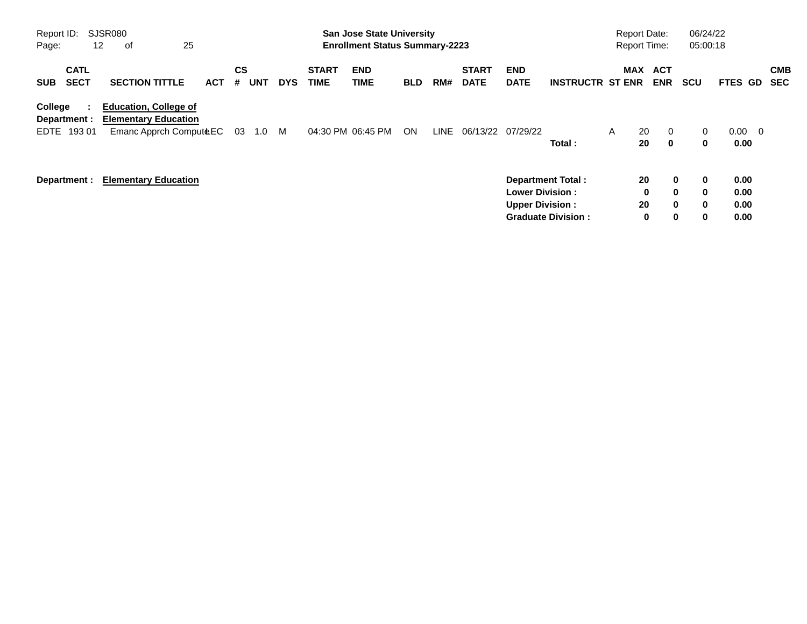| Report ID:<br>Page:                      | SJSR080<br>25<br>12<br>оf                                                             |            |                       |            |                             | <b>San Jose State University</b><br><b>Enrollment Status Summary-2223</b> |            |      |                             |                                                                              |                           | <b>Report Date:</b><br><b>Report Time:</b> |                                         | 06/24/22<br>05:00:18                                          |                              |                          |                          |
|------------------------------------------|---------------------------------------------------------------------------------------|------------|-----------------------|------------|-----------------------------|---------------------------------------------------------------------------|------------|------|-----------------------------|------------------------------------------------------------------------------|---------------------------|--------------------------------------------|-----------------------------------------|---------------------------------------------------------------|------------------------------|--------------------------|--------------------------|
| <b>CATL</b><br><b>SECT</b><br><b>SUB</b> | <b>SECTION TITTLE</b>                                                                 | <b>ACT</b> | CS<br><b>UNT</b><br># | <b>DYS</b> | <b>START</b><br><b>TIME</b> | <b>END</b><br><b>TIME</b>                                                 | <b>BLD</b> | RM#  | <b>START</b><br><b>DATE</b> | <b>END</b><br><b>DATE</b>                                                    | <b>INSTRUCTR ST ENR</b>   | MAX                                        | ACT<br><b>ENR</b>                       | <b>SCU</b>                                                    | FTES GD                      |                          | <b>CMB</b><br><b>SEC</b> |
| College<br>Department :<br>19301<br>EDTE | <b>Education, College of</b><br><b>Elementary Education</b><br>Emanc Apprch ComputeEC |            | 03<br>1.0             | M          |                             | 04:30 PM 06:45 PM                                                         | ON         | LINE | 06/13/22                    | 07/29/22                                                                     | Total:                    | $\mathsf{A}$                               | 20<br>$\mathbf{0}$<br>$\mathbf 0$<br>20 | 0<br>0                                                        | 0.00<br>0.00                 | $\overline{\phantom{0}}$ |                          |
| Department :                             | <b>Elementary Education</b>                                                           |            |                       |            |                             |                                                                           |            |      |                             | <b>Department Total:</b><br><b>Lower Division:</b><br><b>Upper Division:</b> | <b>Graduate Division:</b> |                                            | 20<br>0<br>20<br>0                      | 0<br>0<br>$\bf{0}$<br>$\bf{0}$<br>$\mathbf{0}$<br>0<br>0<br>0 | 0.00<br>0.00<br>0.00<br>0.00 |                          |                          |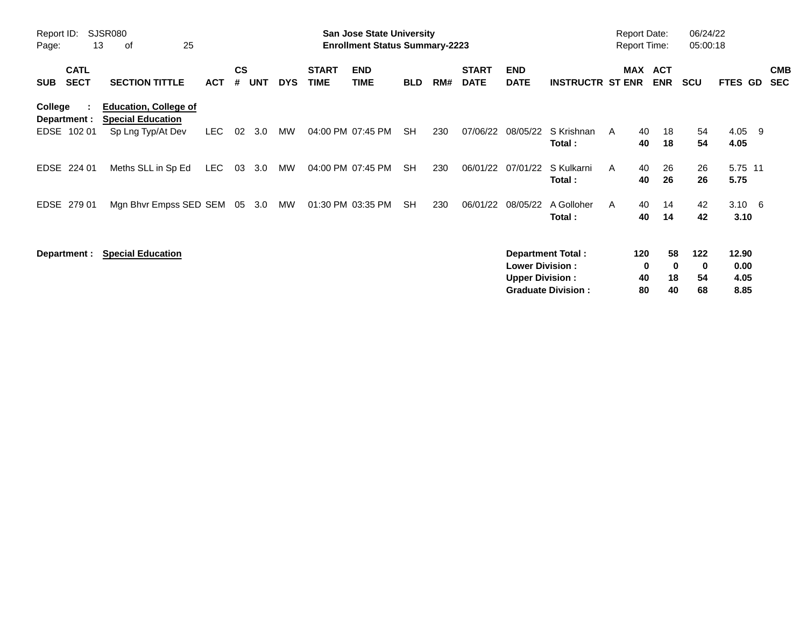| Report ID:<br>Page:                      | SJSR080<br>25<br>13<br>оf                                                     |            |                    |            |            |                             | <b>San Jose State University</b><br><b>Enrollment Status Summary-2223</b> |            |     |                             |                                                  |                                                       | <b>Report Date:</b><br><b>Report Time:</b> |                      |                            | 06/24/22<br>05:00:18 |                               |                          |
|------------------------------------------|-------------------------------------------------------------------------------|------------|--------------------|------------|------------|-----------------------------|---------------------------------------------------------------------------|------------|-----|-----------------------------|--------------------------------------------------|-------------------------------------------------------|--------------------------------------------|----------------------|----------------------------|----------------------|-------------------------------|--------------------------|
| <b>CATL</b><br><b>SECT</b><br><b>SUB</b> | <b>SECTION TITTLE</b>                                                         | <b>ACT</b> | $\mathsf{cs}$<br># | <b>UNT</b> | <b>DYS</b> | <b>START</b><br><b>TIME</b> | <b>END</b><br><b>TIME</b>                                                 | <b>BLD</b> | RM# | <b>START</b><br><b>DATE</b> | <b>END</b><br><b>DATE</b>                        | <b>INSTRUCTR ST ENR</b>                               | <b>MAX</b>                                 |                      | <b>ACT</b><br><b>ENR</b>   | <b>SCU</b>           | FTES GD                       | <b>CMB</b><br><b>SEC</b> |
| College<br>Department :<br>EDSE 102 01   | <b>Education, College of</b><br><b>Special Education</b><br>Sp Lng Typ/At Dev | <b>LEC</b> | 02                 | 3.0        | MW         |                             | 04:00 PM 07:45 PM                                                         | <b>SH</b>  | 230 | 07/06/22                    | 08/05/22                                         | S Krishnan<br>Total:                                  | A                                          | 40<br>40             | 18<br>18                   | 54<br>54             | 4.05 9<br>4.05                |                          |
| EDSE<br>224 01                           | Meths SLL in Sp Ed                                                            | <b>LEC</b> | 03                 | 3.0        | MW         |                             | 04:00 PM 07:45 PM                                                         | <b>SH</b>  | 230 | 06/01/22                    | 07/01/22                                         | S Kulkarni<br>Total:                                  | A                                          | 40<br>40             | 26<br>26                   | 26<br>26             | 5.75 11<br>5.75               |                          |
| EDSE<br>279 01                           | Mgn Bhvr Empss SED SEM 05 3.0                                                 |            |                    |            | MW         |                             | 01:30 PM 03:35 PM                                                         | SH         | 230 | 06/01/22                    | 08/05/22                                         | A Golloher<br>Total:                                  | A                                          | 40<br>40             | 14<br>14                   | 42<br>42             | $3.10 \quad 6$<br>3.10        |                          |
| Department :                             | <b>Special Education</b>                                                      |            |                    |            |            |                             |                                                                           |            |     |                             | <b>Lower Division:</b><br><b>Upper Division:</b> | <b>Department Total:</b><br><b>Graduate Division:</b> |                                            | 120<br>0<br>40<br>80 | 58<br>$\bf{0}$<br>18<br>40 | 122<br>0<br>54<br>68 | 12.90<br>0.00<br>4.05<br>8.85 |                          |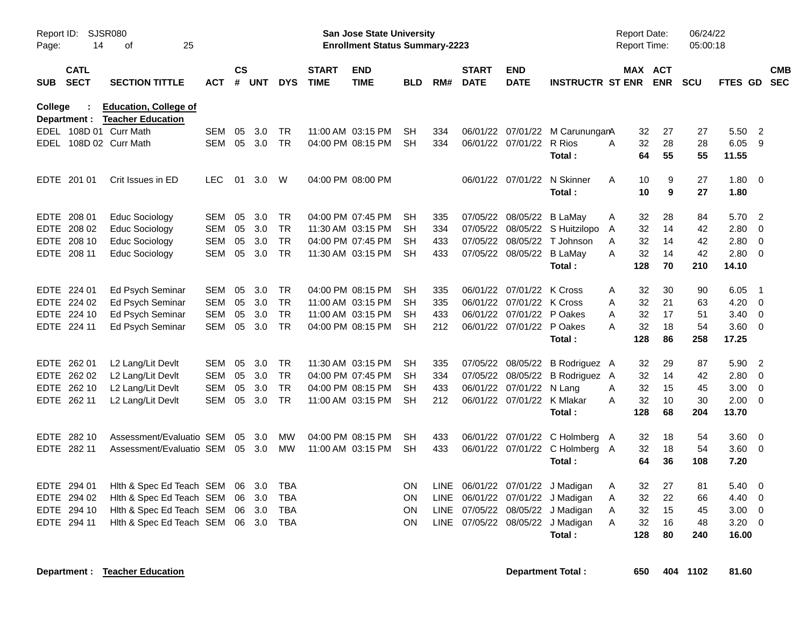| Report ID:<br>Page: | 14                         | SJSR080<br>25<br>οf                                      |            |                    |            |            |                             | San Jose State University<br><b>Enrollment Status Summary-2223</b> |            |             |                             |                            |                                 | <b>Report Date:</b><br>Report Time: |     |                       | 06/24/22<br>05:00:18 |             |                          |            |
|---------------------|----------------------------|----------------------------------------------------------|------------|--------------------|------------|------------|-----------------------------|--------------------------------------------------------------------|------------|-------------|-----------------------------|----------------------------|---------------------------------|-------------------------------------|-----|-----------------------|----------------------|-------------|--------------------------|------------|
| <b>SUB</b>          | <b>CATL</b><br><b>SECT</b> | <b>SECTION TITTLE</b>                                    | <b>ACT</b> | $\mathsf{cs}$<br># | <b>UNT</b> | <b>DYS</b> | <b>START</b><br><b>TIME</b> | <b>END</b><br><b>TIME</b>                                          | <b>BLD</b> | RM#         | <b>START</b><br><b>DATE</b> | <b>END</b><br><b>DATE</b>  | <b>INSTRUCTR ST ENR</b>         |                                     |     | MAX ACT<br><b>ENR</b> | <b>SCU</b>           | FTES GD SEC |                          | <b>CMB</b> |
| College             | Department :               | <b>Education, College of</b><br><b>Teacher Education</b> |            |                    |            |            |                             |                                                                    |            |             |                             |                            |                                 |                                     |     |                       |                      |             |                          |            |
|                     |                            | EDEL 108D 01 Curr Math                                   | <b>SEM</b> | 05                 | 3.0        | <b>TR</b>  |                             | 11:00 AM 03:15 PM                                                  | SH         | 334         |                             |                            | 06/01/22 07/01/22 M CarunungarA |                                     | 32  | 27                    | 27                   | 5.50        | $\overline{2}$           |            |
|                     |                            | EDEL 108D 02 Curr Math                                   | <b>SEM</b> | 05                 | 3.0        | <b>TR</b>  |                             | 04:00 PM 08:15 PM                                                  | SH         | 334         |                             | 06/01/22 07/01/22 R Rios   |                                 | A                                   | 32  | 28                    | 28                   | 6.05        | 9                        |            |
|                     |                            |                                                          |            |                    |            |            |                             |                                                                    |            |             |                             |                            | Total:                          |                                     | 64  | 55                    | 55                   | 11.55       |                          |            |
|                     | EDTE 201 01                | Crit Issues in ED                                        | <b>LEC</b> | 01                 | 3.0        | W          |                             | 04:00 PM 08:00 PM                                                  |            |             |                             | 06/01/22 07/01/22          | N Skinner                       | A                                   | 10  | 9                     | 27                   | 1.80        | $\overline{0}$           |            |
|                     |                            |                                                          |            |                    |            |            |                             |                                                                    |            |             |                             |                            | Total:                          |                                     | 10  | 9                     | 27                   | 1.80        |                          |            |
|                     | EDTE 208 01                | Educ Sociology                                           | <b>SEM</b> | 05                 | 3.0        | TR         |                             | 04:00 PM 07:45 PM                                                  | SН         | 335         |                             | 07/05/22 08/05/22 B LaMay  |                                 | A                                   | 32  | 28                    | 84                   | 5.70        | $\overline{2}$           |            |
|                     | EDTE 208 02                | <b>Educ Sociology</b>                                    | <b>SEM</b> | 05                 | 3.0        | <b>TR</b>  |                             | 11:30 AM 03:15 PM                                                  | SH         | 334         |                             |                            | 07/05/22 08/05/22 S Huitzilopo  | A                                   | 32  | 14                    | 42                   | 2.80        | $\mathbf 0$              |            |
|                     | EDTE 208 10                | <b>Educ Sociology</b>                                    | <b>SEM</b> | 05                 | 3.0        | <b>TR</b>  |                             | 04:00 PM 07:45 PM                                                  | SH         | 433         |                             | 07/05/22 08/05/22          | T Johnson                       | A                                   | 32  | 14                    | 42                   | 2.80        | $\overline{0}$           |            |
|                     | EDTE 208 11                | <b>Educ Sociology</b>                                    | <b>SEM</b> | 05                 | 3.0        | <b>TR</b>  |                             | 11:30 AM 03:15 PM                                                  | <b>SH</b>  | 433         |                             | 07/05/22 08/05/22 B LaMay  |                                 | A                                   | 32  | 14                    | 42                   | 2.80        | $\overline{\mathbf{0}}$  |            |
|                     |                            |                                                          |            |                    |            |            |                             |                                                                    |            |             |                             |                            | Total:                          |                                     | 128 | 70                    | 210                  | 14.10       |                          |            |
|                     | EDTE 224 01                | Ed Psych Seminar                                         | <b>SEM</b> | 05                 | 3.0        | <b>TR</b>  |                             | 04:00 PM 08:15 PM                                                  | <b>SH</b>  | 335         |                             | 06/01/22 07/01/22          | K Cross                         | A                                   | 32  | 30                    | 90                   | 6.05        | $\overline{\phantom{0}}$ |            |
|                     | EDTE 224 02                | Ed Psych Seminar                                         | <b>SEM</b> | 05                 | 3.0        | <b>TR</b>  |                             | 11:00 AM 03:15 PM                                                  | <b>SH</b>  | 335         |                             | 06/01/22 07/01/22 K Cross  |                                 | A                                   | 32  | 21                    | 63                   | 4.20        | $\overline{0}$           |            |
| EDTE                | 224 10                     | Ed Psych Seminar                                         | <b>SEM</b> | 05                 | 3.0        | <b>TR</b>  |                             | 11:00 AM 03:15 PM                                                  | <b>SH</b>  | 433         |                             | 06/01/22 07/01/22          | P Oakes                         | A                                   | 32  | 17                    | 51                   | 3.40        | $\overline{0}$           |            |
|                     | EDTE 224 11                | Ed Psych Seminar                                         | SEM        | 05                 | 3.0        | <b>TR</b>  |                             | 04:00 PM 08:15 PM                                                  | <b>SH</b>  | 212         |                             | 06/01/22 07/01/22          | P Oakes                         | A                                   | 32  | 18                    | 54                   | 3.60        | $\overline{\mathbf{0}}$  |            |
|                     |                            |                                                          |            |                    |            |            |                             |                                                                    |            |             |                             |                            | Total:                          |                                     | 128 | 86                    | 258                  | 17.25       |                          |            |
|                     | EDTE 262 01                | L2 Lang/Lit Devlt                                        | <b>SEM</b> | 05                 | 3.0        | <b>TR</b>  |                             | 11:30 AM 03:15 PM                                                  | SH         | 335         |                             | 07/05/22 08/05/22          | B Rodriguez A                   |                                     | 32  | 29                    | 87                   | 5.90        | $\overline{2}$           |            |
|                     | EDTE 262 02                | L2 Lang/Lit Devlt                                        | <b>SEM</b> | 05                 | 3.0        | <b>TR</b>  |                             | 04:00 PM 07:45 PM                                                  | SН         | 334         |                             |                            | 07/05/22 08/05/22 B Rodriguez A |                                     | 32  | 14                    | 42                   | 2.80        | 0                        |            |
|                     | EDTE 262 10                | L2 Lang/Lit Devlt                                        | <b>SEM</b> | 05                 | 3.0        | <b>TR</b>  |                             | 04:00 PM 08:15 PM                                                  | SH         | 433         |                             | 06/01/22 07/01/22 N Lang   |                                 | A                                   | 32  | 15                    | 45                   | 3.00        | - 0                      |            |
|                     | EDTE 262 11                | L2 Lang/Lit Devlt                                        | <b>SEM</b> | 05                 | 3.0        | <b>TR</b>  |                             | 11:00 AM 03:15 PM                                                  | SH         | 212         |                             | 06/01/22 07/01/22 K Mlakar |                                 | A                                   | 32  | 10                    | 30                   | 2.00        | $\overline{0}$           |            |
|                     |                            |                                                          |            |                    |            |            |                             |                                                                    |            |             |                             |                            | Total:                          |                                     | 128 | 68                    | 204                  | 13.70       |                          |            |
|                     | EDTE 282 10                | Assessment/Evaluatio SEM                                 |            | 05                 | 3.0        | <b>MW</b>  |                             | 04:00 PM 08:15 PM                                                  | SH         | 433         |                             |                            | 06/01/22 07/01/22 C Holmberg A  |                                     | 32  | 18                    | 54                   | 3.60        | - 0                      |            |
|                     | EDTE 282 11                | Assessment/Evaluatio SEM                                 |            |                    | 05 3.0     | <b>MW</b>  |                             | 11:00 AM 03:15 PM                                                  | <b>SH</b>  | 433         |                             |                            | 06/01/22 07/01/22 C Holmberg A  |                                     | 32  | 18                    | 54                   | 3.60        | $\overline{0}$           |            |
|                     |                            |                                                          |            |                    |            |            |                             |                                                                    |            |             |                             |                            | Total:                          |                                     | 64  | 36                    | 108                  | 7.20        |                          |            |
|                     | EDTE 294 01                | Hith & Spec Ed Teach SEM                                 |            |                    | 06 3.0     | <b>TBA</b> |                             |                                                                    | ON         | LINE        |                             |                            | 06/01/22 07/01/22 J Madigan     | A                                   | 32  | 27                    | 81                   | 5.40        | $\overline{0}$           |            |
|                     | EDTE 294 02                | Hith & Spec Ed Teach SEM                                 |            |                    | 06 3.0     | <b>TBA</b> |                             |                                                                    | <b>ON</b>  | <b>LINE</b> |                             | 06/01/22 07/01/22          | J Madigan                       | A                                   | 32  | 22                    | 66                   | 4.40        | - 0                      |            |
|                     | EDTE 294 10                | Hith & Spec Ed Teach SEM                                 |            | 06                 | 3.0        | <b>TBA</b> |                             |                                                                    | <b>ON</b>  | <b>LINE</b> |                             | 07/05/22 08/05/22          | J Madigan                       | A                                   | 32  | 15                    | 45                   | 3.00        | $\overline{0}$           |            |
| EDTE                | 294 11                     | Hith & Spec Ed Teach SEM                                 |            | 06                 | 3.0        | <b>TBA</b> |                             |                                                                    | <b>ON</b>  | LINE        |                             | 07/05/22 08/05/22          | J Madigan                       | A                                   | 32  | 16                    | 48                   | 3.20        | $\mathbf 0$              |            |
|                     |                            |                                                          |            |                    |            |            |                             |                                                                    |            |             |                             |                            | Total:                          |                                     | 128 | 80                    | 240                  | 16.00       |                          |            |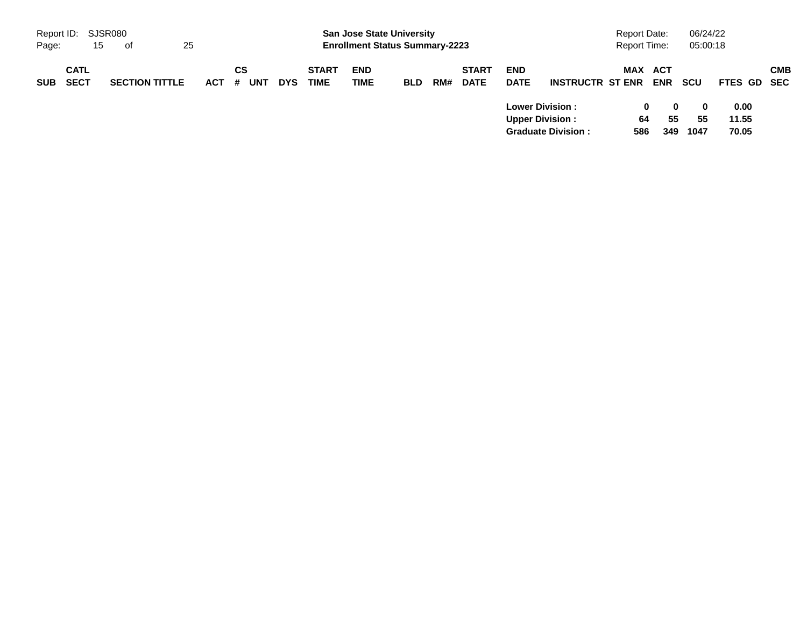|            | Report ID: SJSR080         |    |                       |    |            |         |     |            |                             | <b>San Jose State University</b>      |            |     |                             |                                                  |                           | <b>Report Date:</b> |                   | 06/24/22                   |                        |            |
|------------|----------------------------|----|-----------------------|----|------------|---------|-----|------------|-----------------------------|---------------------------------------|------------|-----|-----------------------------|--------------------------------------------------|---------------------------|---------------------|-------------------|----------------------------|------------------------|------------|
| Page:      |                            | 15 | - of                  | 25 |            |         |     |            |                             | <b>Enrollment Status Summary-2223</b> |            |     |                             |                                                  |                           | <b>Report Time:</b> |                   | 05:00:18                   |                        |            |
| <b>SUB</b> | <b>CATL</b><br><b>SECT</b> |    | <b>SECTION TITTLE</b> |    | <b>ACT</b> | CS<br># | UNT | <b>DYS</b> | <b>START</b><br><b>TIME</b> | <b>END</b><br><b>TIME</b>             | <b>BLD</b> | RM# | <b>START</b><br><b>DATE</b> | <b>END</b><br><b>DATE</b>                        | <b>INSTRUCTR ST ENR</b>   | MAX                 | ACT<br><b>ENR</b> | scu                        | FTES GD SEC            | <b>CMB</b> |
|            |                            |    |                       |    |            |         |     |            |                             |                                       |            |     |                             | <b>Lower Division:</b><br><b>Upper Division:</b> | <b>Graduate Division:</b> | 0<br>64<br>586      | 0<br>55<br>349    | $\mathbf{0}$<br>55<br>1047 | 0.00<br>11.55<br>70.05 |            |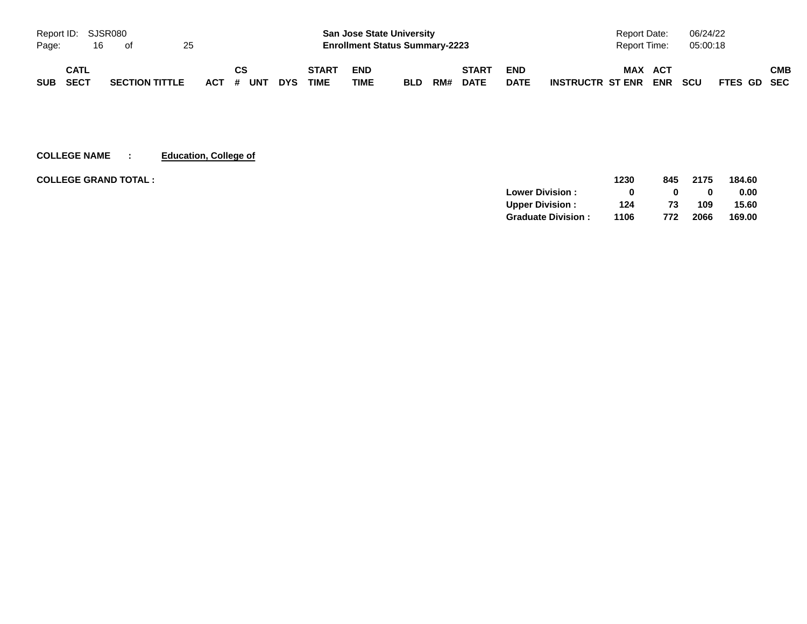| Report ID: SJSR080 |      |    |                       |    |           |            |              | <b>San Jose State University</b>      |            |     |              |             | <b>Report Date:</b>                   | 06/24/22   |             |
|--------------------|------|----|-----------------------|----|-----------|------------|--------------|---------------------------------------|------------|-----|--------------|-------------|---------------------------------------|------------|-------------|
| Page:              |      | 16 | of                    | 25 |           |            |              | <b>Enrollment Status Summary-2223</b> |            |     |              |             | Report Time:                          | 05:00:18   |             |
|                    | CATL |    |                       |    | <b>CS</b> |            | <b>START</b> | <b>END</b>                            |            |     | <b>START</b> | <b>END</b>  | <b>MAX</b><br>ACT                     |            | СМВ         |
| <b>SUB</b>         | SECT |    | <b>SECTION TITTLE</b> |    | ACT # UNT | <b>DYS</b> | <b>TIME</b>  | TIME                                  | <b>BLD</b> | RM# | <b>DATE</b>  | <b>DATE</b> | <b>ENR</b><br><b>INSTRUCTR ST ENR</b> | <b>SCU</b> | FTES GD SEC |

**COLLEGE NAME : Education, College of**

| <b>COLLEGE GRAND TOTAL :</b> |                           | 1230 | 845 | 2175 | 184.60 |
|------------------------------|---------------------------|------|-----|------|--------|
|                              | <b>Lower Division:</b>    |      |     |      | 0.00   |
|                              | <b>Upper Division:</b>    | 124  | 73  | 109  | 15.60  |
|                              | <b>Graduate Division:</b> | 1106 | 772 | 2066 | 169.00 |
|                              |                           |      |     |      |        |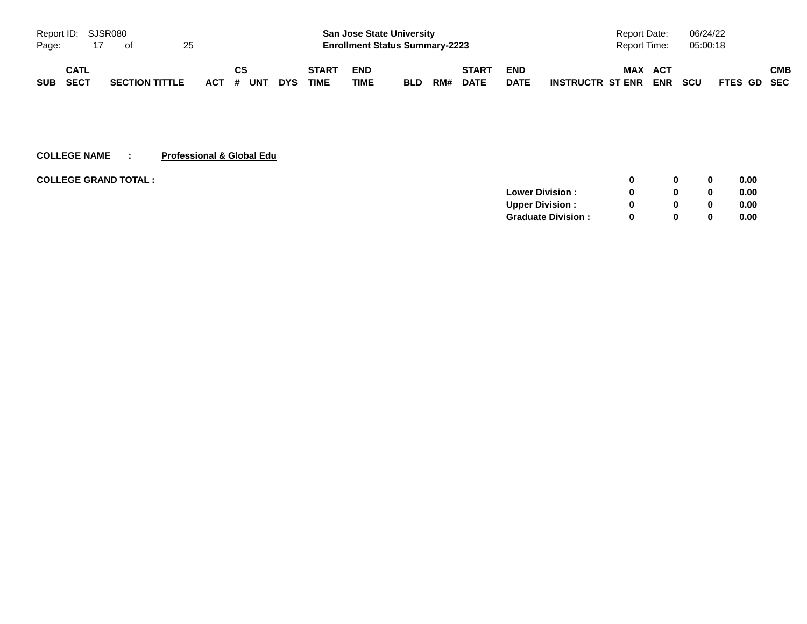| Report ID: SJSR080 |             |                       |    |                 |            |                             |                    | <b>San Jose State University</b>      |     |                             |                           | Report Date:                   |                   | 06/24/22   |             |            |
|--------------------|-------------|-----------------------|----|-----------------|------------|-----------------------------|--------------------|---------------------------------------|-----|-----------------------------|---------------------------|--------------------------------|-------------------|------------|-------------|------------|
| Page:              | 17          | of                    | 25 |                 |            |                             |                    | <b>Enrollment Status Summary-2223</b> |     |                             |                           | Report Time:                   |                   | 05:00:18   |             |            |
| SUB SECT           | <b>CATL</b> | <b>SECTION TITTLE</b> |    | СS<br>ACT # UNT | <b>DYS</b> | <b>START</b><br><b>TIME</b> | <b>END</b><br>TIME | <b>BLD</b>                            | RM# | <b>START</b><br><b>DATE</b> | <b>END</b><br><b>DATE</b> | <b>MAX</b><br>INSTRUCTR ST ENR | <b>ACT</b><br>ENR | <b>SCU</b> | FTES GD SEC | <b>CMB</b> |

### **COLLEGE NAME : Professional & Global Edu**

| <b>COLLEGE GRAND TOTAL:</b> |                           |   |   | 0.00 |
|-----------------------------|---------------------------|---|---|------|
|                             | <b>Lower Division:</b>    |   |   | 0.00 |
|                             | <b>Upper Division:</b>    |   |   | 0.00 |
|                             | <b>Graduate Division:</b> | 0 | 0 | 0.00 |
|                             |                           |   |   |      |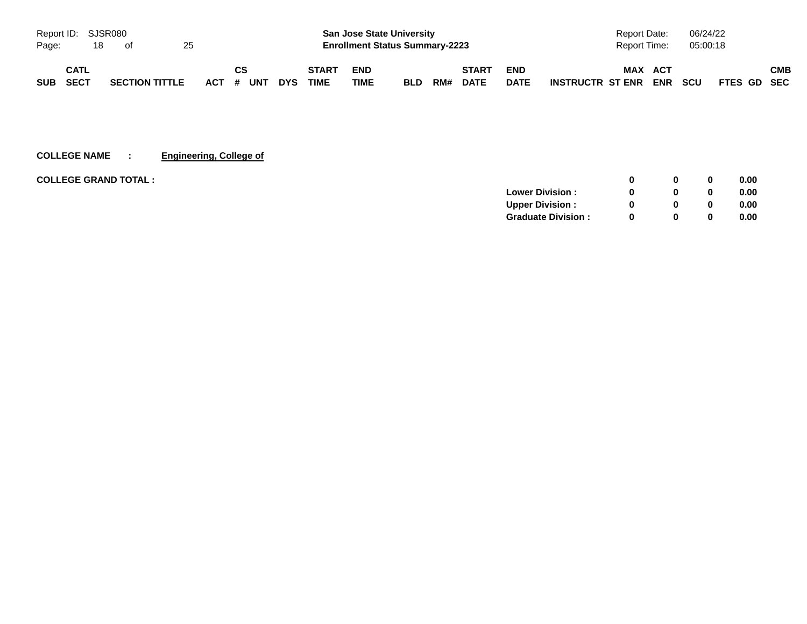|            | Report ID: SJSR080 |    |                       |    |  |           |            |              |            | <b>San Jose State University</b>      |     |              |             | <b>Report Date:</b>                   | 06/24/22                  |     |
|------------|--------------------|----|-----------------------|----|--|-----------|------------|--------------|------------|---------------------------------------|-----|--------------|-------------|---------------------------------------|---------------------------|-----|
| Page:      |                    | 18 | of                    | 25 |  |           |            |              |            | <b>Enrollment Status Summary-2223</b> |     |              |             | Report Time:                          | 05:00:18                  |     |
|            | CATL               |    |                       |    |  | CS        |            | <b>START</b> | <b>END</b> |                                       |     | <b>START</b> | <b>END</b>  | <b>MAX</b><br>ACT                     |                           | СМВ |
| <b>SUB</b> | SECT               |    | <b>SECTION TITTLE</b> |    |  | ACT # UNT | <b>DYS</b> | <b>TIME</b>  | TIME       | <b>BLD</b>                            | RM# | <b>DATE</b>  | <b>DATE</b> | <b>ENR</b><br><b>INSTRUCTR ST ENR</b> | <b>SCU</b><br>FTES GD SEC |     |

**COLLEGE NAME : Engineering, College of**

| <b>COLLEGE GRAND TOTAL :</b> |                           | <sup>0</sup> | $\bf{0}$ | 0.00 |
|------------------------------|---------------------------|--------------|----------|------|
|                              | <b>Lower Division:</b>    | <sup>0</sup> | $\bf{0}$ | 0.00 |
|                              | <b>Upper Division:</b>    | 0            | 0        | 0.00 |
|                              | <b>Graduate Division:</b> | <sup>0</sup> | $\bf{0}$ | 0.00 |
|                              |                           |              |          |      |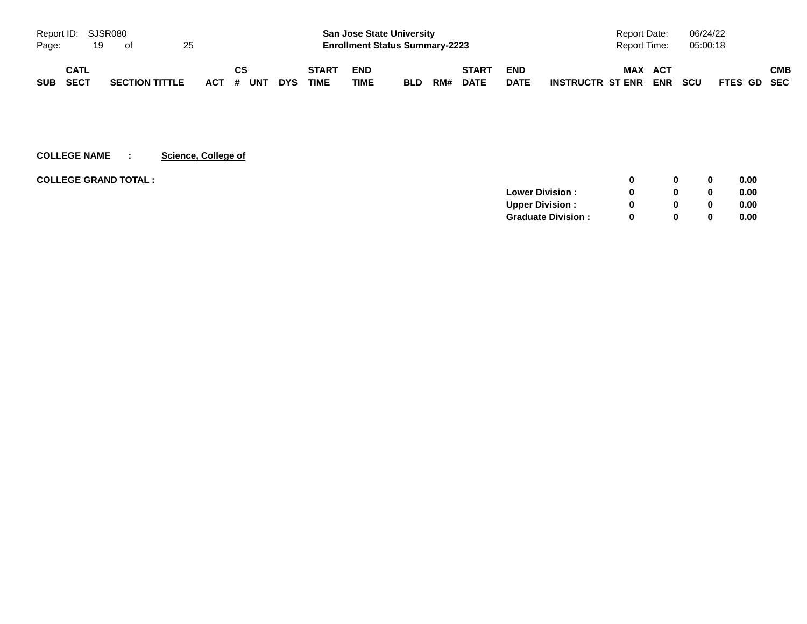|            | Report ID: SJSR080 |    |                       |    |           |           |  |            | <b>San Jose State University</b> |                                       |            |     |              | <b>Report Date:</b> |                         | 06/24/22   |            |             |     |
|------------|--------------------|----|-----------------------|----|-----------|-----------|--|------------|----------------------------------|---------------------------------------|------------|-----|--------------|---------------------|-------------------------|------------|------------|-------------|-----|
| Page:      |                    | 19 | ot                    | 25 |           |           |  |            |                                  | <b>Enrollment Status Summary-2223</b> |            |     |              |                     | <b>Report Time:</b>     |            | 05:00:18   |             |     |
|            | CATL               |    |                       |    |           | <b>CS</b> |  |            | <b>START</b>                     | <b>END</b>                            |            |     | <b>START</b> | <b>END</b>          | MAX                     | ACT        |            |             | СМВ |
| <b>SUB</b> | SECT               |    | <b>SECTION TITTLE</b> |    | ACT # UNT |           |  | <b>DYS</b> | <b>TIME</b>                      | TIME                                  | <b>BLD</b> | RM# | <b>DATE</b>  | <b>DATE</b>         | <b>INSTRUCTR ST ENR</b> | <b>ENR</b> | <b>SCU</b> | FTES GD SEC |     |

# **COLLEGE NAME : Science, College of**

| <b>COLLEGE GRAND TOTAL :</b> |                             | 0            | 0.00 |
|------------------------------|-----------------------------|--------------|------|
|                              | <b>Lower Division:</b><br>0 | $\Omega$     | 0.00 |
|                              | <b>Upper Division:</b><br>0 | $\mathbf{0}$ | 0.00 |
|                              | <b>Graduate Division:</b>   | $\Omega$     | 0.00 |
|                              |                             |              |      |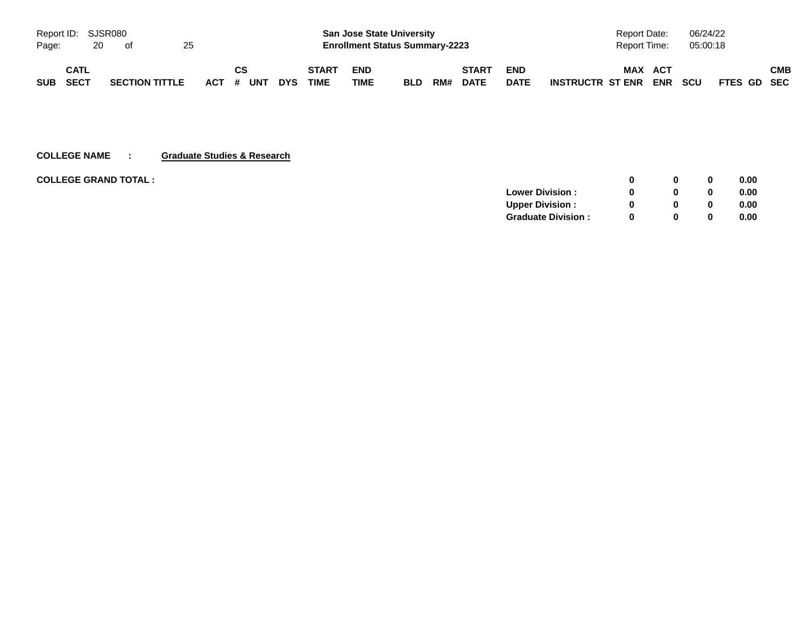|            | Report ID: SJSR080 |    |                       |    |  |           |            |              |            | <b>San Jose State University</b>      |     |              |             | <b>Report Date:</b>                   | 06/24/22                  |            |
|------------|--------------------|----|-----------------------|----|--|-----------|------------|--------------|------------|---------------------------------------|-----|--------------|-------------|---------------------------------------|---------------------------|------------|
| Page:      |                    | 20 | of                    | 25 |  |           |            |              |            | <b>Enrollment Status Summary-2223</b> |     |              |             | Report Time:                          | 05:00:18                  |            |
|            | CATL               |    |                       |    |  | CS        |            | <b>START</b> | <b>END</b> |                                       |     | <b>START</b> | <b>END</b>  | <b>MAX</b><br>ACT                     |                           | <b>CMB</b> |
| <b>SUB</b> | SECT               |    | <b>SECTION TITTLE</b> |    |  | ACT # UNT | <b>DYS</b> | <b>TIME</b>  | TIME       | <b>BLD</b>                            | RM# | <b>DATE</b>  | <b>DATE</b> | <b>ENR</b><br><b>INSTRUCTR ST ENR</b> | <b>SCU</b><br>FTES GD SEC |            |

#### **COLLEGE NAME : Graduate Studies & Research**

| <b>COLLEGE GRAND TOTAL :</b> |                           |              |   | 0.00 |
|------------------------------|---------------------------|--------------|---|------|
|                              | <b>Lower Division:</b>    |              | 0 | 0.00 |
|                              | <b>Upper Division:</b>    | <sup>0</sup> | 0 | 0.00 |
|                              | <b>Graduate Division:</b> | o            |   | 0.00 |
|                              |                           |              |   |      |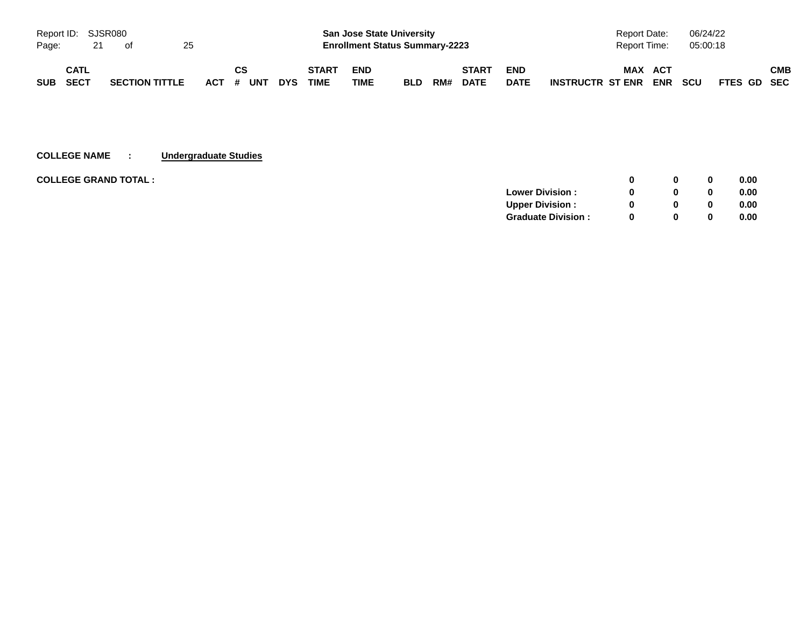|            | Report ID: SJSR080<br><b>San Jose State University</b> |    |                       |    |           |    |  |            |              |                                       | <b>Report Date:</b> |     | 06/24/22     |             |                         |            |            |             |     |
|------------|--------------------------------------------------------|----|-----------------------|----|-----------|----|--|------------|--------------|---------------------------------------|---------------------|-----|--------------|-------------|-------------------------|------------|------------|-------------|-----|
| Page:      |                                                        | 21 | of                    | 25 |           |    |  |            |              | <b>Enrollment Status Summary-2223</b> |                     |     |              |             | Report Time:            |            | 05:00:18   |             |     |
|            | CATL                                                   |    |                       |    |           | CS |  |            | <b>START</b> | <b>END</b>                            |                     |     | <b>START</b> | <b>END</b>  | <b>MAX</b><br>ACT       |            |            |             | СМВ |
| <b>SUB</b> | SECT                                                   |    | <b>SECTION TITTLE</b> |    | ACT # UNT |    |  | <b>DYS</b> | <b>TIME</b>  | TIME                                  | <b>BLD</b>          | RM# | <b>DATE</b>  | <b>DATE</b> | <b>INSTRUCTR ST ENR</b> | <b>ENR</b> | <b>SCU</b> | FTES GD SEC |     |

#### **COLLEGE NAME : Undergraduate Studies**

| <b>COLLEGE GRAND TOTAL :</b> |                           | n        | 0 | 0.00 |
|------------------------------|---------------------------|----------|---|------|
|                              | <b>Lower Division:</b>    |          | 0 | 0.00 |
|                              | <b>Upper Division:</b>    |          | 0 | 0.00 |
|                              | <b>Graduate Division:</b> | $\Omega$ | 0 | 0.00 |
|                              |                           |          |   |      |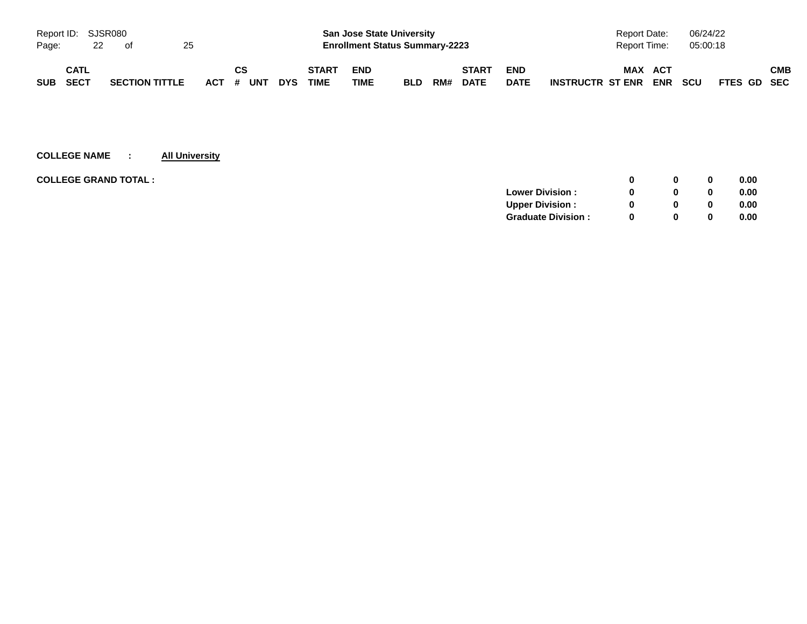|            | Report ID: SJSR080 |    |                       |    |  |           |            |              | <b>San Jose State University</b> |                                       |     |              | <b>Report Date:</b> |                      | 06/24/22 |          |             |     |
|------------|--------------------|----|-----------------------|----|--|-----------|------------|--------------|----------------------------------|---------------------------------------|-----|--------------|---------------------|----------------------|----------|----------|-------------|-----|
| Page:      |                    | 22 | of                    | 25 |  |           |            |              |                                  | <b>Enrollment Status Summary-2223</b> |     |              |                     | Report Time:         |          | 05:00:18 |             |     |
|            | CATL               |    |                       |    |  | CS        |            | <b>START</b> | <b>END</b>                       |                                       |     | <b>START</b> | <b>END</b>          | MAX                  | ACT      |          |             | СМВ |
| <b>SUB</b> | <b>SECT</b>        |    | <b>SECTION TITTLE</b> |    |  | ACT # UNT | <b>DYS</b> | TIME         | TIME                             | <b>BLD</b>                            | RM# | <b>DATE</b>  | <b>DATE</b>         | INSTRUCTR ST ENR ENR |          | scu      | FTES GD SEC |     |

# **COLLEGE NAME : All University**

| <b>COLLEGE GRAND TOTAL :</b> |                           |  | 0 | 0.00 |
|------------------------------|---------------------------|--|---|------|
|                              | <b>Lower Division:</b>    |  |   | 0.00 |
|                              | <b>Upper Division:</b>    |  | 0 | 0.00 |
|                              | <b>Graduate Division:</b> |  | 0 | 0.00 |
|                              |                           |  |   |      |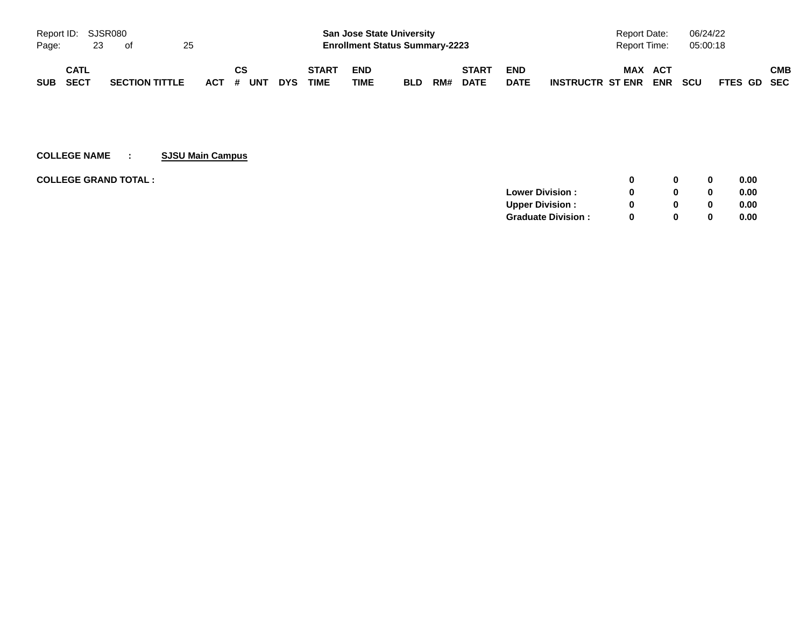|          | Report ID: SJSR080 |    |                       |    |  |           |           |            | <b>San Jose State University</b> |                                       |            |     |              |             | Report Date:         |              | 06/24/22 |          |             |     |
|----------|--------------------|----|-----------------------|----|--|-----------|-----------|------------|----------------------------------|---------------------------------------|------------|-----|--------------|-------------|----------------------|--------------|----------|----------|-------------|-----|
| Page:    |                    | 23 | of                    | 25 |  |           |           |            |                                  | <b>Enrollment Status Summary-2223</b> |            |     |              |             |                      | Report Time: |          | 05:00:18 |             |     |
|          | <b>CATL</b>        |    |                       |    |  | <b>CS</b> |           |            | <b>START</b>                     | <b>END</b>                            |            |     | <b>START</b> | <b>END</b>  |                      | <b>MAX</b>   | ACT      |          |             | СМВ |
| SUB SECT |                    |    | <b>SECTION TITTLE</b> |    |  |           | ACT # UNT | <b>DYS</b> | <b>TIME</b>                      | TIME                                  | <b>BLD</b> | RM# | <b>DATE</b>  | <b>DATE</b> | INSTRUCTR ST ENR ENR |              |          | scu      | FTES GD SEC |     |

# **COLLEGE NAME : SJSU Main Campus**

| <b>COLLEGE GRAND TOTAL :</b> |                           | n        | 0 | 0.00 |
|------------------------------|---------------------------|----------|---|------|
|                              | <b>Lower Division:</b>    |          | 0 | 0.00 |
|                              | <b>Upper Division:</b>    |          | 0 | 0.00 |
|                              | <b>Graduate Division:</b> | $\Omega$ | 0 | 0.00 |
|                              |                           |          |   |      |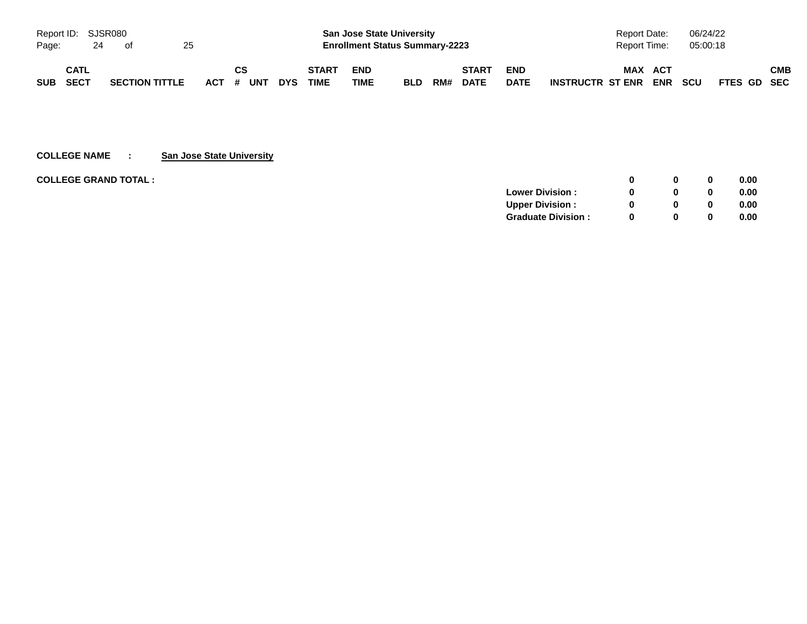|                            | Report ID: SJSR080 |                       |    |  |                                       |            | <b>San Jose State University</b> |                    |            |     |                             |                           |                                    | <b>Report Date:</b> |            |             | 06/24/22 |            |  |
|----------------------------|--------------------|-----------------------|----|--|---------------------------------------|------------|----------------------------------|--------------------|------------|-----|-----------------------------|---------------------------|------------------------------------|---------------------|------------|-------------|----------|------------|--|
| Page:                      | 24                 | of                    | 25 |  | <b>Enrollment Status Summary-2223</b> |            |                                  |                    |            |     | 05:00:18<br>Report Time:    |                           |                                    |                     |            |             |          |            |  |
| CATL<br>SECT<br><b>SUB</b> |                    | <b>SECTION TITTLE</b> |    |  | CS<br>ACT # UNT                       | <b>DYS</b> | <b>START</b><br><b>TIME</b>      | <b>END</b><br>TIME | <b>BLD</b> | RM# | <b>START</b><br><b>DATE</b> | <b>END</b><br><b>DATE</b> | MAX ACT<br><b>INSTRUCTR ST ENR</b> | <b>ENR</b>          | <b>SCU</b> | FTES GD SEC |          | <b>CMB</b> |  |

**COLLEGE NAME : San Jose State University**

| <b>COLLEGE GRAND TOTAL:</b> |                           |   |   | 0.00 |
|-----------------------------|---------------------------|---|---|------|
|                             | <b>Lower Division:</b>    |   |   | 0.00 |
|                             | <b>Upper Division:</b>    |   |   | 0.00 |
|                             | <b>Graduate Division:</b> | 0 | 0 | 0.00 |
|                             |                           |   |   |      |